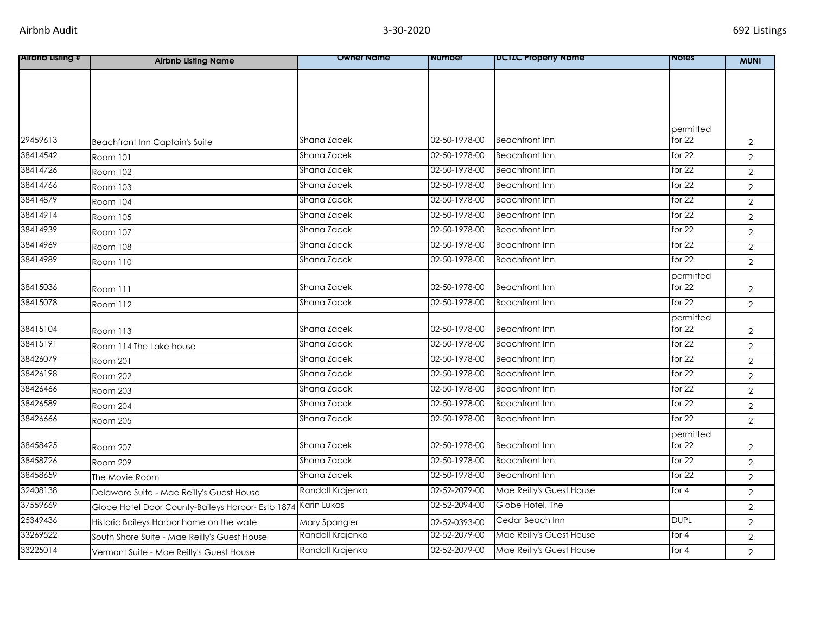| <b>Alrono Listing #</b> | <b>Airbnb Listing Name</b>                        | <b>Owner Name</b> | number        | <b>DUILC Property Name</b> | <b>NOTES</b> | <b>MUNI</b>    |
|-------------------------|---------------------------------------------------|-------------------|---------------|----------------------------|--------------|----------------|
|                         |                                                   |                   |               |                            |              |                |
|                         |                                                   |                   |               |                            |              |                |
|                         |                                                   |                   |               |                            |              |                |
|                         |                                                   |                   |               |                            |              |                |
|                         |                                                   |                   |               |                            | permitted    |                |
| 29459613                | <b>Beachfront Inn Captain's Suite</b>             | Shana Zacek       | 02-50-1978-00 | <b>Beachfront Inn</b>      | for $22$     | $\overline{2}$ |
| 38414542                | Room 101                                          | Shana Zacek       | 02-50-1978-00 | <b>Beachfront Inn</b>      | for $22$     | $\overline{2}$ |
| 38414726                | Room 102                                          | Shana Zacek       | 02-50-1978-00 | <b>Beachfront Inn</b>      | for $22$     | $\overline{2}$ |
| 38414766                | Room 103                                          | Shana Zacek       | 02-50-1978-00 | <b>Beachfront Inn</b>      | for $22$     | $\overline{2}$ |
| 38414879                | Room 104                                          | Shana Zacek       | 02-50-1978-00 | <b>Beachfront Inn</b>      | for 22       | $\overline{2}$ |
| 38414914                | <b>Room 105</b>                                   | Shana Zacek       | 02-50-1978-00 | <b>Beachfront Inn</b>      | for 22       | $\overline{2}$ |
| 38414939                | Room 107                                          | Shana Zacek       | 02-50-1978-00 | <b>Beachfront Inn</b>      | for $22$     | $\overline{2}$ |
| 38414969                | <b>Room 108</b>                                   | Shana Zacek       | 02-50-1978-00 | <b>Beachfront Inn</b>      | for $22$     | $\overline{2}$ |
| 38414989                | Room 110                                          | Shana Zacek       | 02-50-1978-00 | <b>Beachfront Inn</b>      | for $22$     | $\overline{2}$ |
|                         |                                                   |                   |               |                            | permitted    |                |
| 38415036                | Room 111                                          | Shana Zacek       | 02-50-1978-00 | <b>Beachfront Inn</b>      | for $22$     | $\overline{2}$ |
| 38415078                | Room 112                                          | Shana Zacek       | 02-50-1978-00 | <b>Beachfront Inn</b>      | for $22$     | $\overline{2}$ |
|                         |                                                   |                   |               |                            | permitted    |                |
| 38415104                | Room 113                                          | Shana Zacek       | 02-50-1978-00 | <b>Beachfront Inn</b>      | for $22$     | $\overline{2}$ |
| 38415191                | Room 114 The Lake house                           | Shana Zacek       | 02-50-1978-00 | <b>Beachfront Inn</b>      | for $22$     | $\overline{2}$ |
| 38426079                | Room 201                                          | Shana Zacek       | 02-50-1978-00 | <b>Beachfront Inn</b>      | for $22$     | $\overline{2}$ |
| 38426198                | Room 202                                          | Shana Zacek       | 02-50-1978-00 | <b>Beachfront Inn</b>      | for 22       | $\overline{2}$ |
| 38426466                | Room 203                                          | Shana Zacek       | 02-50-1978-00 | <b>Beachfront Inn</b>      | for $22$     | $\overline{2}$ |
| 38426589                | Room 204                                          | Shana Zacek       | 02-50-1978-00 | <b>Beachfront Inn</b>      | for $22$     | $\overline{2}$ |
| 38426666                | Room 205                                          | Shana Zacek       | 02-50-1978-00 | <b>Beachfront Inn</b>      | for $22$     | $\overline{2}$ |
|                         |                                                   |                   |               |                            | permitted    |                |
| 38458425                | Room 207                                          | Shana Zacek       | 02-50-1978-00 | <b>Beachfront Inn</b>      | for 22       | $\overline{2}$ |
| 38458726                | Room 209                                          | Shana Zacek       | 02-50-1978-00 | <b>Beachfront Inn</b>      | for $22$     | $\overline{2}$ |
| 38458659                | The Movie Room                                    | Shana Zacek       | 02-50-1978-00 | <b>Beachfront Inn</b>      | for $22$     | $\overline{2}$ |
| 32408138                | Delaware Suite - Mae Reilly's Guest House         | Randall Krajenka  | 02-52-2079-00 | Mae Reilly's Guest House   | for $4$      | $\overline{2}$ |
| 37559669                | Globe Hotel Door County-Baileys Harbor- Estb 1874 | Karin Lukas       | 02-52-2094-00 | Globe Hotel, The           |              | $\overline{2}$ |
| 25349436                | Historic Baileys Harbor home on the wate          | Mary Spangler     | 02-52-0393-00 | Cedar Beach Inn            | <b>DUPL</b>  | $\overline{2}$ |
| 33269522                | South Shore Suite - Mae Reilly's Guest House      | Randall Krajenka  | 02-52-2079-00 | Mae Reilly's Guest House   | for 4        | $\overline{2}$ |
| 33225014                | Vermont Suite - Mae Reilly's Guest House          | Randall Krajenka  | 02-52-2079-00 | Mae Reilly's Guest House   | for 4        | $\overline{2}$ |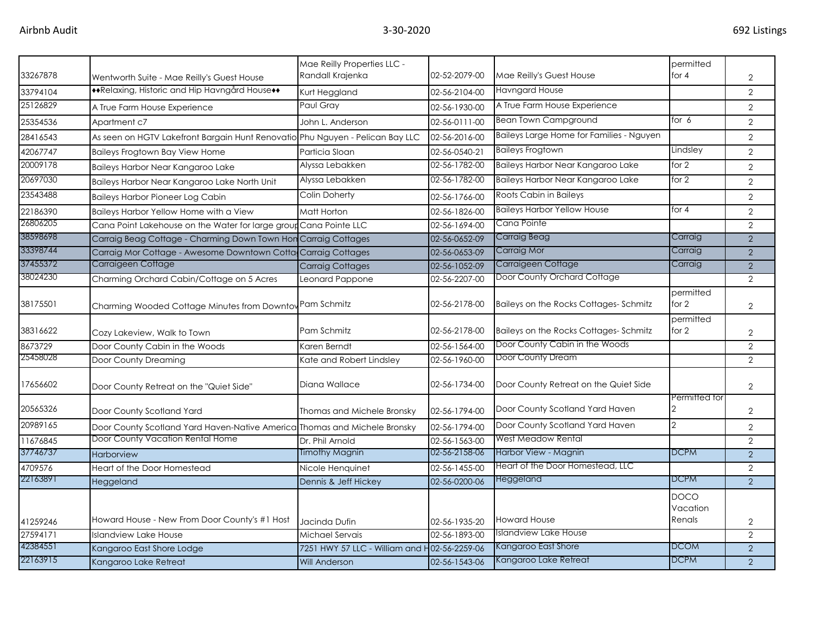|          |                                                                               | Mae Reilly Properties LLC -                  |               |                                          | permitted                         |                |
|----------|-------------------------------------------------------------------------------|----------------------------------------------|---------------|------------------------------------------|-----------------------------------|----------------|
| 33267878 | Wentworth Suite - Mae Reilly's Guest House                                    | Randall Krajenka                             | 02-52-2079-00 | Mae Reilly's Guest House                 | for $4$                           | 2              |
| 33794104 | ◆◆Relaxing, Historic and Hip Havngård House◆◆                                 | Kurt Heggland                                | 02-56-2104-00 | <b>Havngard House</b>                    |                                   | $\overline{2}$ |
| 25126829 | A True Farm House Experience                                                  | Paul Grav                                    | 02-56-1930-00 | A True Farm House Experience             |                                   | $\overline{2}$ |
| 25354536 | Apartment c7                                                                  | John L. Anderson                             | 02-56-0111-00 | <b>Bean Town Campground</b>              | for $6$                           | $\overline{2}$ |
| 28416543 | As seen on HGTV Lakefront Bargain Hunt Renovatio Phu Nguyen - Pelican Bay LLC |                                              | 02-56-2016-00 | Baileys Large Home for Families - Nguyen |                                   | $\overline{2}$ |
| 42067747 | Baileys Frogtown Bay View Home                                                | Particia Sloan                               | 02-56-0540-21 | <b>Baileys Frogtown</b>                  | Lindsley                          | $\overline{2}$ |
| 20009178 | Baileys Harbor Near Kangaroo Lake                                             | Alyssa Lebakken                              | 02-56-1782-00 | Baileys Harbor Near Kangaroo Lake        | for 2                             | $\overline{2}$ |
| 20697030 | Baileys Harbor Near Kangaroo Lake North Unit                                  | Alyssa Lebakken                              | 02-56-1782-00 | Baileys Harbor Near Kangaroo Lake        | for $2$                           | $\overline{2}$ |
| 23543488 | <b>Baileys Harbor Pioneer Log Cabin</b>                                       | Colin Doherty                                | 02-56-1766-00 | Roots Cabin in Baileys                   |                                   | $\overline{2}$ |
| 22186390 | Baileys Harbor Yellow Home with a View                                        | Matt Horton                                  | 02-56-1826-00 | <b>Baileys Harbor Yellow House</b>       | for $4$                           | $\overline{2}$ |
| 26806205 | Cana Point Lakehouse on the Water for large group Cana Pointe LLC             |                                              | 02-56-1694-00 | Cana Pointe                              |                                   | $\overline{2}$ |
| 38598698 | Carraig Beag Cottage - Charming Down Town Hon Carraig Cottages                |                                              | 02-56-0652-09 | Carraig Beag                             | Carraig                           | $\mathcal{P}$  |
| 33398744 | Carraig Mor Cottage - Awesome Downtown Cotta Carraig Cottages                 |                                              | 02-56-0653-09 | Carraig Mor                              | Carraig                           | $\overline{2}$ |
| 37455372 | Carraigeen Cottage                                                            | <b>Carraig Cottages</b>                      | 02-56-1052-09 | Carraigeen Cottage                       | Carraig                           | $\overline{2}$ |
| 38024230 | Charming Orchard Cabin/Cottage on 5 Acres                                     | Leonard Pappone                              | 02-56-2207-00 | Door County Orchard Cottage              |                                   | $\overline{2}$ |
| 38175501 | Charming Wooded Cottage Minutes from Downtov Pam Schmitz                      |                                              | 02-56-2178-00 | Baileys on the Rocks Cottages-Schmitz    | permitted<br>for $2$              | $\overline{2}$ |
| 38316622 | Cozy Lakeview, Walk to Town                                                   | Pam Schmitz                                  | 02-56-2178-00 | Baileys on the Rocks Cottages-Schmitz    | permitted<br>for 2                | $\overline{2}$ |
| 8673729  | Door County Cabin in the Woods                                                | Karen Berndt                                 | 02-56-1564-00 | Door County Cabin in the Woods           |                                   | $\overline{2}$ |
| 25458028 | Door County Dreaming                                                          | Kate and Robert Lindsley                     | 02-56-1960-00 | Door County Dream                        |                                   | $\overline{2}$ |
| 17656602 | Door County Retreat on the "Quiet Side"                                       | Diana Wallace                                | 02-56-1734-00 | Door County Retreat on the Quiet Side    |                                   | $\overline{2}$ |
| 20565326 | Door County Scotland Yard                                                     | Thomas and Michele Bronsky                   | 02-56-1794-00 | Door County Scotland Yard Haven          | Permitted for<br>$\overline{2}$   | $\overline{2}$ |
| 20989165 | Door County Scotland Yard Haven-Native America Thomas and Michele Bronsky     |                                              | 02-56-1794-00 | Door County Scotland Yard Haven          | 2                                 | $\overline{2}$ |
| 11676845 | Door County Vacation Rental Home                                              | Dr. Phil Arnold                              | 02-56-1563-00 | West Meadow Rental                       |                                   | 2              |
| 37746737 | Harborview                                                                    | <b>Timothy Magnin</b>                        | 02-56-2158-06 | Harbor View - Magnin                     | <b>DCPM</b>                       | $\overline{2}$ |
| 4709576  | Heart of the Door Homestead                                                   | Nicole Henquinet                             | 02-56-1455-00 | Heart of the Door Homestead, LLC         |                                   | $\overline{2}$ |
| 22163891 | Heggeland                                                                     | Dennis & Jeff Hickey                         | 02-56-0200-06 | Heggeland                                | <b>DCPM</b>                       | $\overline{2}$ |
| 41259246 | Howard House - New From Door County's #1 Host                                 | Jacinda Dufin                                | 02-56-1935-20 | <b>Howard House</b>                      | <b>DOCO</b><br>Vacation<br>Renals | $\overline{2}$ |
| 27594171 | <b>Islandview Lake House</b>                                                  | Michael Servais                              | 02-56-1893-00 | <b>Islandview Lake House</b>             |                                   | $\overline{2}$ |
| 42384551 | Kangaroo East Shore Lodge                                                     | 7251 HWY 57 LLC - William and H02-56-2259-06 |               | Kangaroo East Shore                      | <b>DCOM</b>                       | $\overline{2}$ |
| 22163915 | Kangaroo Lake Retreat                                                         | <b>Will Anderson</b>                         | 02-56-1543-06 | Kangaroo Lake Retreat                    | <b>DCPM</b>                       | $\overline{2}$ |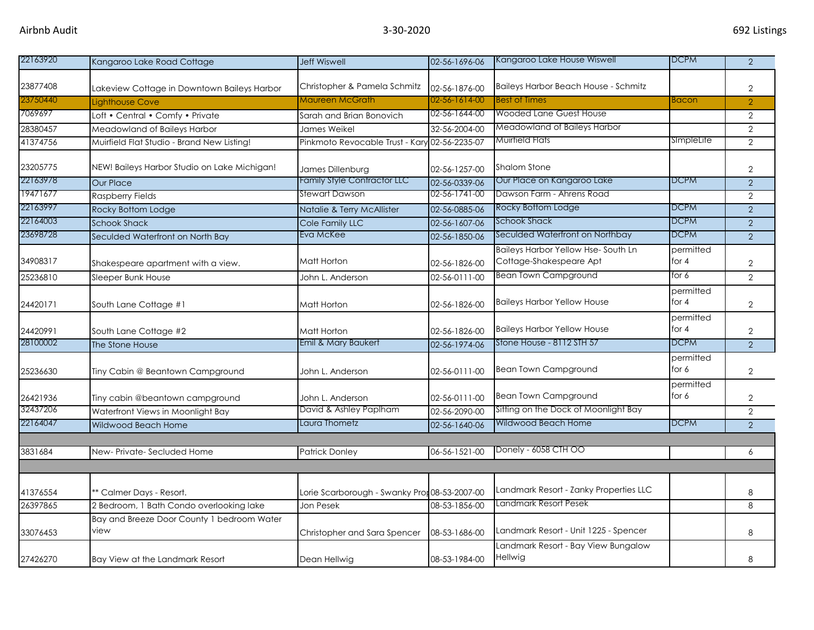| 22163920             | Kangaroo Lake Road Cottage                         | <b>Jeff Wiswell</b>                           | 02-56-1696-06 | Kangaroo Lake House Wiswell                                          | <b>DCPM</b>          | $\overline{2}$ |
|----------------------|----------------------------------------------------|-----------------------------------------------|---------------|----------------------------------------------------------------------|----------------------|----------------|
|                      |                                                    |                                               |               |                                                                      |                      |                |
| 23877408             | Lakeview Cottage in Downtown Baileys Harbor        | Christopher & Pamela Schmitz                  | 02-56-1876-00 | <b>Baileys Harbor Beach House - Schmitz</b>                          |                      | $\overline{2}$ |
| 23750440             | Lighthouse Cove                                    | Maureen McGrath                               | 02-56-1614-00 | <b>Best of Times</b>                                                 | <b>Bacon</b>         | $\overline{2}$ |
| 7069697              | Loft • Central • Comfy • Private                   | Sarah and Brian Bonovich                      | 02-56-1644-00 | <b>Wooded Lane Guest House</b>                                       |                      | $\overline{2}$ |
| 28380457             | Meadowland of Baileys Harbor                       | James Weikel                                  | 32-56-2004-00 | Meadowland of Baileys Harbor                                         |                      | $\overline{2}$ |
| 41374756             | Muirfield Flat Studio - Brand New Listing!         | Pinkmoto Revocable Trust - Kary 02-56-2235-07 |               | Muirfield Flats                                                      | SimpleLife           | $\overline{2}$ |
| 23205775             | NEW! Baileys Harbor Studio on Lake Michigan!       | James Dillenburg                              | 02-56-1257-00 | Shalom Stone                                                         |                      | $\overline{2}$ |
| 22163978             | Our Place                                          | Family Style Contractor LLC                   | 02-56-0339-06 | Our Place on Kangaroo Lake                                           | <b>DCPM</b>          | $\overline{2}$ |
| 19471677             | Raspberry Fields                                   | Stewart Dawson                                | 02-56-1741-00 | Dawson Farm - Ahrens Road                                            |                      | $\overline{2}$ |
| 22163997             | Rocky Bottom Lodge                                 | Natalie & Terry McAllister                    | 02-56-0885-06 | Rocky Bottom Lodge                                                   | <b>DCPM</b>          | 2              |
| 22164003             | <b>Schook Shack</b>                                | Cole Family LLC                               | 02-56-1607-06 | <b>Schook Shack</b>                                                  | <b>DCPM</b>          | $\overline{2}$ |
| 23698728             | Seculded Waterfront on North Bay                   | Eva McKee                                     | 02-56-1850-06 | Seculded Waterfront on Northbay                                      | <b>DCPM</b>          | $\overline{2}$ |
| 34908317             | Shakespeare apartment with a view.                 | Matt Horton                                   | 02-56-1826-00 | <b>Baileys Harbor Yellow Hse-South Ln</b><br>Cottage-Shakespeare Apt | permitted<br>for $4$ | $\overline{2}$ |
| 25236810             | Sleeper Bunk House                                 | John L. Anderson                              | 02-56-0111-00 | <b>Bean Town Campground</b>                                          | for 6                | $\overline{2}$ |
| 24420171             | South Lane Cottage #1                              | Matt Horton                                   | 02-56-1826-00 | <b>Baileys Harbor Yellow House</b>                                   | permitted<br>for $4$ | $\overline{2}$ |
| 24420991             | South Lane Cottage #2                              | Matt Horton                                   | 02-56-1826-00 | <b>Baileys Harbor Yellow House</b>                                   | permitted<br>for $4$ | $\overline{2}$ |
| 28100002             | The Stone House                                    | Emil & Mary Baukert                           | 02-56-1974-06 | Stone House - 8112 STH 57                                            | <b>DCPM</b>          | 2              |
| 25236630             | Tiny Cabin @ Beantown Campground                   | John L. Anderson                              | 02-56-0111-00 | <b>Bean Town Campground</b>                                          | permitted<br>for 6   | $\mathbf{2}$   |
| 26421936<br>32437206 | Tiny cabin @beantown campground                    | John L. Anderson<br>David & Ashley Paplham    | 02-56-0111-00 | Bean Town Campground<br>Sitting on the Dock of Moonlight Bay         | permitted<br>for 6   | $\mathbf{2}$   |
|                      | Waterfront Views in Moonlight Bay                  |                                               | 02-56-2090-00 |                                                                      |                      | $\overline{2}$ |
| 22164047             | Wildwood Beach Home                                | Laura Thometz                                 | 02-56-1640-06 | Wildwood Beach Home                                                  | <b>DCPM</b>          | 2              |
| 3831684              | New-Private-Secluded Home                          | <b>Patrick Donley</b>                         | 06-56-1521-00 | Donely - 6058 CTH OO                                                 |                      | 6              |
|                      |                                                    |                                               |               |                                                                      |                      |                |
| 41376554             | ** Calmer Days - Resort.                           | Lorie Scarborough - Swanky Pror 08-53-2007-00 |               | Landmark Resort - Zanky Properties LLC                               |                      | 8              |
| 26397865             | 2 Bedroom, 1 Bath Condo overlooking lake           | Jon Pesek                                     | 08-53-1856-00 | Landmark Resort Pesek                                                |                      | 8              |
| 33076453             | Bay and Breeze Door County 1 bedroom Water<br>view | Christopher and Sara Spencer                  | 08-53-1686-00 | Landmark Resort - Unit 1225 - Spencer                                |                      | 8              |
| 27426270             | Bay View at the Landmark Resort                    | Dean Hellwig                                  | 08-53-1984-00 | Landmark Resort - Bay View Bungalow<br>Hellwig                       |                      | 8              |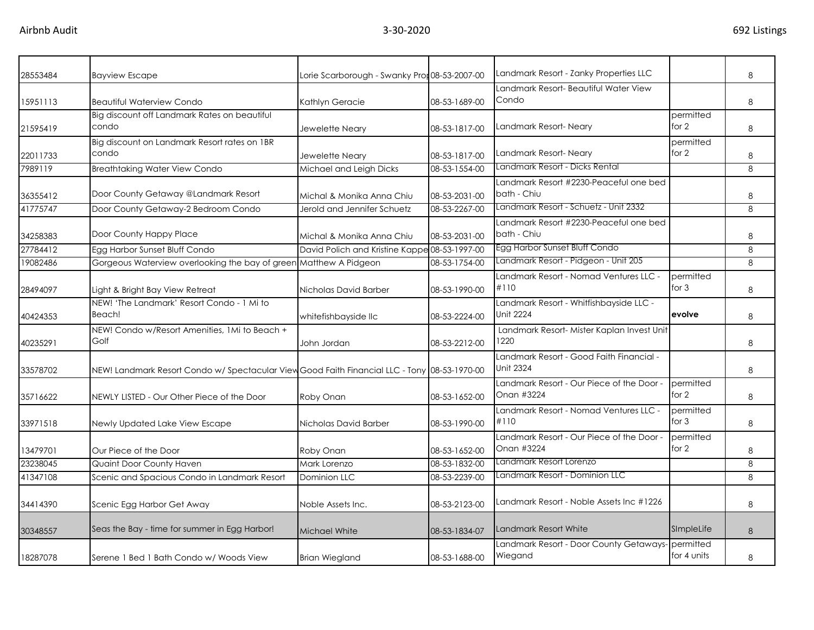| 28553484 | <b>Bayview Escape</b>                                                                        | Lorie Scarborough - Swanky Pror 08-53-2007-00 |               | Landmark Resort - Zanky Properties LLC                       |                      | 8       |
|----------|----------------------------------------------------------------------------------------------|-----------------------------------------------|---------------|--------------------------------------------------------------|----------------------|---------|
|          |                                                                                              |                                               |               | Landmark Resort- Beautiful Water View                        |                      |         |
| 15951113 | <b>Beautiful Waterview Condo</b>                                                             | Kathlyn Geracie                               | 08-53-1689-00 | Condo                                                        |                      | 8       |
|          | Big discount off Landmark Rates on beautiful                                                 |                                               |               |                                                              | permitted<br>for $2$ |         |
| 21595419 | condo                                                                                        | Jewelette Neary                               | 08-53-1817-00 | Landmark Resort-Neary                                        |                      | 8       |
| 22011733 | Big discount on Landmark Resort rates on 1BR<br>condo                                        | Jewelette Neary                               | 08-53-1817-00 | Landmark Resort-Neary                                        | permitted<br>for $2$ | 8       |
| 7989119  | <b>Breathtaking Water View Condo</b>                                                         | Michael and Leigh Dicks                       | 08-53-1554-00 | Landmark Resort - Dicks Rental                               |                      | 8       |
| 36355412 | Door County Getaway @Landmark Resort                                                         | Michal & Monika Anna Chiu                     | 08-53-2031-00 | Landmark Resort #2230-Peaceful one bed<br>bath - Chiu        |                      | 8       |
| 41775747 | Door County Getaway-2 Bedroom Condo                                                          | Jerold and Jennifer Schuetz                   | 08-53-2267-00 | Landmark Resort - Schuetz - Unit 2332                        |                      | 8       |
| 34258383 | Door County Happy Place                                                                      | Michal & Monika Anna Chiu                     | 08-53-2031-00 | Landmark Resort #2230-Peaceful one bed<br>bath - Chiu        |                      | 8       |
| 27784412 | Egg Harbor Sunset Bluff Condo                                                                | David Polich and Kristine Kappe 08-53-1997-00 |               | Egg Harbor Sunset Bluff Condo                                |                      | 8       |
| 19082486 | Gorgeous Waterview overlooking the bay of green Matthew A Pidgeon                            |                                               | 08-53-1754-00 | Landmark Resort - Pidgeon - Unit 205                         |                      | 8       |
| 28494097 | Light & Bright Bay View Retreat                                                              | Nicholas David Barber                         | 08-53-1990-00 | Landmark Resort - Nomad Ventures LLC -<br>#110               | permitted<br>for $3$ | 8       |
| 40424353 | NEW! 'The Landmark' Resort Condo - 1 Mi to<br>Beach!                                         | whitefishbayside llc                          | 08-53-2224-00 | Landmark Resort - Whitfishbayside LLC -<br>Unit 2224         | evolve               | 8       |
| 40235291 | NEW! Condo w/Resort Amenities, 1Mi to Beach +<br>Golf                                        | John Jordan                                   | 08-53-2212-00 | Landmark Resort- Mister Kaplan Invest Unit<br>1220           |                      | 8       |
| 33578702 | NEW! Landmark Resort Condo w/ Spectacular View Good Faith Financial LLC - Tony 08-53-1970-00 |                                               |               | Landmark Resort - Good Faith Financial -<br><b>Unit 2324</b> |                      | 8       |
| 35716622 | NEWLY LISTED - Our Other Piece of the Door                                                   | Roby Onan                                     | 08-53-1652-00 | Landmark Resort - Our Piece of the Door -<br>Onan #3224      | permitted<br>for $2$ | 8       |
| 33971518 | Newly Updated Lake View Escape                                                               | Nicholas David Barber                         | 08-53-1990-00 | Landmark Resort - Nomad Ventures LLC -<br>#110               | permitted<br>for $3$ | 8       |
| 13479701 | Our Piece of the Door                                                                        | Roby Onan                                     | 08-53-1652-00 | Landmark Resort - Our Piece of the Door -<br>Onan #3224      | permitted<br>for $2$ | 8       |
| 23238045 | Quaint Door County Haven                                                                     | Mark Lorenzo                                  | 08-53-1832-00 | Landmark Resort Lorenzo                                      |                      | $\,8\,$ |
| 41347108 | Scenic and Spacious Condo in Landmark Resort                                                 | Dominion LLC                                  | 08-53-2239-00 | Landmark Resort - Dominion LLC                               |                      | 8       |
| 34414390 | Scenic Egg Harbor Get Away                                                                   | Noble Assets Inc.                             | 08-53-2123-00 | Landmark Resort - Noble Assets Inc #1226                     |                      | 8       |
| 30348557 | Seas the Bay - time for summer in Egg Harbor!                                                | Michael White                                 | 08-53-1834-07 | Landmark Resort White                                        | SImpleLife           | 8       |
| 18287078 | Serene 1 Bed 1 Bath Condo w/ Woods View                                                      | <b>Brian Wiegland</b>                         | 08-53-1688-00 | Landmark Resort - Door County Getaways- permitted<br>Wiegand | for 4 units          | 8       |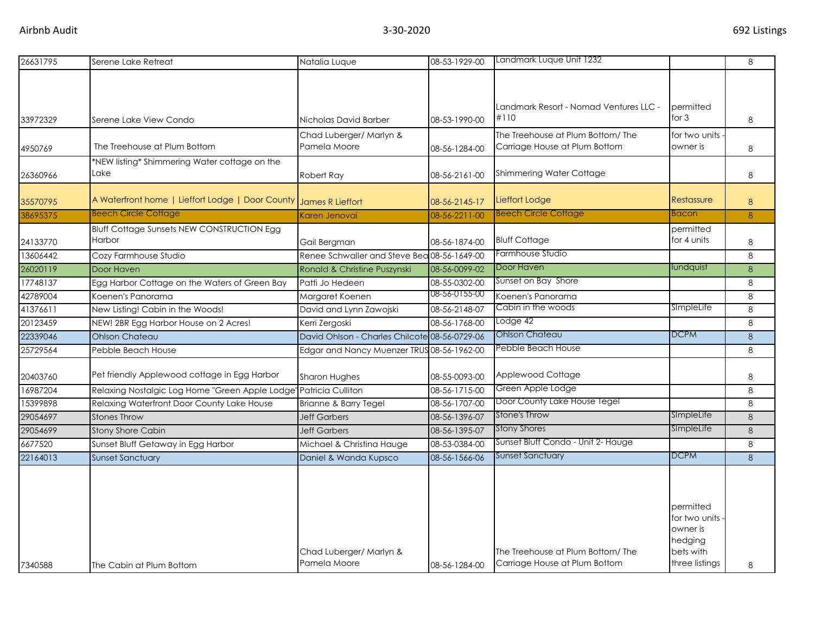| 26631795 | Serene Lake Retreat                                                 | Natalia Luque                                 | 08-53-1929-00 | Landmark Luque Unit 1232                                           |                                                                                  | 8 |
|----------|---------------------------------------------------------------------|-----------------------------------------------|---------------|--------------------------------------------------------------------|----------------------------------------------------------------------------------|---|
| 33972329 | Serene Lake View Condo                                              | Nicholas David Barber                         | 08-53-1990-00 | Landmark Resort - Nomad Ventures LLC -<br>#110                     | permitted<br>for 3                                                               | 8 |
| 4950769  | The Treehouse at Plum Bottom                                        | Chad Luberger/ Marlyn &<br>Pamela Moore       | 08-56-1284-00 | The Treehouse at Plum Bottom/ The<br>Carriage House at Plum Bottom | for two units<br>owner is                                                        | 8 |
| 26360966 | *NEW listing* Shimmering Water cottage on the<br>Lake               | Robert Ray                                    | 08-56-2161-00 | Shimmering Water Cottage                                           |                                                                                  | 8 |
| 35570795 | A Waterfront home   Lieffort Lodge   Door County   James R Lieffort |                                               | 08-56-2145-17 | Lieffort Lodge                                                     | Restassure                                                                       | 8 |
| 38695375 | <b>Beech Circle Cottage</b>                                         | Karen Jenovai                                 | 08-56-2211-00 | <b>Beech Circle Cottage</b>                                        | Bacon                                                                            | 8 |
| 24133770 | <b>Bluff Cottage Sunsets NEW CONSTRUCTION Egg</b><br>Harbor         | Gail Bergman                                  | 08-56-1874-00 | <b>Bluff Cottage</b>                                               | permitted<br>for 4 units                                                         | 8 |
| 13606442 | Cozy Farmhouse Studio                                               | Renee Schwaller and Steve Bea 08-56-1649-00   |               | Farmhouse Studio                                                   |                                                                                  | 8 |
| 26020119 | Door Haven                                                          | Ronald & Christine Puszynski                  | 08-56-0099-02 | Door Haven                                                         | lundquist                                                                        | 8 |
| 17748137 | Egg Harbor Cottage on the Waters of Green Bay                       | Patti Jo Hedeen                               | 08-55-0302-00 | Sunset on Bay Shore                                                |                                                                                  | 8 |
| 42789004 | Koenen's Panorama                                                   | Margaret Koenen                               | 08-56-0155-00 | Koenen's Panorama                                                  |                                                                                  | 8 |
| 41376611 | New Listing! Cabin in the Woods!                                    | David and Lynn Zawojski                       | 08-56-2148-07 | Cabin in the woods                                                 | SImpleLife                                                                       | 8 |
| 20123459 | NEW! 2BR Egg Harbor House on 2 Acres!                               | Kerri Zergoski                                | 08-56-1768-00 | Lodge 42                                                           |                                                                                  | 8 |
| 22339046 | <b>Ohlson Chateau</b>                                               | David Ohlson - Charles Chilcote 08-56-0729-06 |               | <b>Ohlson Chateau</b>                                              | <b>DCPM</b>                                                                      | 8 |
| 25729564 | Pebble Beach House                                                  | Edgar and Nancy Muenzer TRUS 08-56-1962-00    |               | Pebble Beach House                                                 |                                                                                  | 8 |
| 20403760 | Pet friendly Applewood cottage in Egg Harbor                        | <b>Sharon Hughes</b>                          | 08-55-0093-00 | Applewood Cottage                                                  |                                                                                  | 8 |
| 16987204 | Relaxing Nostalgic Log Home "Green Apple Lodge                      | Patricia Culliton                             | 08-56-1715-00 | Green Apple Lodge                                                  |                                                                                  | 8 |
| 15399898 | Relaxing Waterfront Door County Lake House                          | Brianne & Barry Tegel                         | 08-56-1707-00 | Door County Lake House Tegel                                       |                                                                                  | 8 |
| 29054697 | <b>Stones Throw</b>                                                 | <b>Jeff Garbers</b>                           | 08-56-1396-07 | Stone's Throw                                                      | SimpleLife                                                                       | 8 |
| 29054699 | <b>Stony Shore Cabin</b>                                            | <b>Jeff Garbers</b>                           | 08-56-1395-07 | Stony Shores                                                       | SImpleLife                                                                       | 8 |
| 6677520  | Sunset Bluff Getaway in Egg Harbor                                  | Michael & Christina Hauge                     | 08-53-0384-00 | Sunset Bluff Condo - Unit 2- Hauge                                 |                                                                                  | 8 |
| 22164013 | <b>Sunset Sanctuary</b>                                             | Daniel & Wanda Kupsco                         | 08-56-1566-06 | Sunset Sanctuary                                                   | <b>DCPM</b>                                                                      | 8 |
|          |                                                                     | Chad Luberger/ Marlyn &<br>Pamela Moore       |               | The Treehouse at Plum Bottom/The<br>Carriage House at Plum Bottom  | permitted<br>for two units<br>owner is<br>hedging<br>bets with<br>three listings | 8 |
| 7340588  | The Cabin at Plum Bottom                                            |                                               | 08-56-1284-00 |                                                                    |                                                                                  |   |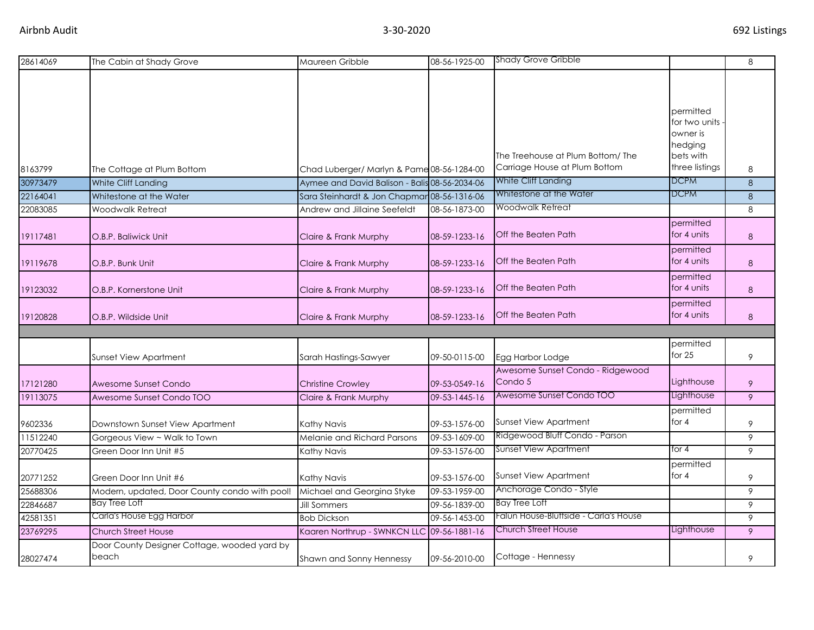| 28614069 | The Cabin at Shady Grove                      | Maureen Gribble                               | 08-56-1925-00 | <b>Shady Grove Gribble</b>                  |                             | 8 |
|----------|-----------------------------------------------|-----------------------------------------------|---------------|---------------------------------------------|-----------------------------|---|
|          |                                               |                                               |               |                                             |                             |   |
|          |                                               |                                               |               |                                             |                             |   |
|          |                                               |                                               |               |                                             |                             |   |
|          |                                               |                                               |               |                                             | permitted<br>for two units. |   |
|          |                                               |                                               |               |                                             | owner is                    |   |
|          |                                               |                                               |               |                                             | hedging                     |   |
|          |                                               |                                               |               | The Treehouse at Plum Bottom/ The           | bets with                   |   |
| 8163799  | The Cottage at Plum Bottom                    | Chad Luberger/ Marlyn & Pame 08-56-1284-00    |               | Carriage House at Plum Bottom               | three listings              | 8 |
| 30973479 | White Cliff Landing                           | Aymee and David Balison - Balis 08-56-2034-06 |               | White Cliff Landing                         | <b>DCPM</b>                 | 8 |
| 22164041 | Whitestone at the Water                       | Sara Steinhardt & Jon Chapmar 08-56-1316-06   |               | Whitestone at the Water                     | <b>DCPM</b>                 | 8 |
| 22083085 | <b>Woodwalk Retreat</b>                       | Andrew and Jillaine Seefeldt                  | 08-56-1873-00 | Woodwalk Retreat                            |                             | 8 |
|          |                                               |                                               |               |                                             | permitted                   |   |
| 19117481 | O.B.P. Baliwick Unit                          | Claire & Frank Murphy                         | 08-59-1233-16 | Off the Beaten Path                         | for 4 units                 | 8 |
|          |                                               |                                               |               |                                             | permitted                   |   |
| 19119678 | O.B.P. Bunk Unit                              | Claire & Frank Murphy                         | 08-59-1233-16 | Off the Beaten Path                         | for 4 units                 | 8 |
|          |                                               |                                               |               |                                             | permitted                   |   |
| 19123032 | O.B.P. Kornerstone Unit                       | Claire & Frank Murphy                         | 08-59-1233-16 | Off the Beaten Path                         | for 4 units                 | 8 |
|          |                                               |                                               |               |                                             | permitted                   |   |
| 19120828 | O.B.P. Wildside Unit                          | Claire & Frank Murphy                         | 08-59-1233-16 | Off the Beaten Path                         | for 4 units                 | 8 |
|          |                                               |                                               |               |                                             |                             |   |
|          |                                               |                                               |               |                                             | permitted<br>for $25$       |   |
|          | <b>Sunset View Apartment</b>                  | Sarah Hastings-Sawyer                         | 09-50-0115-00 | Egg Harbor Lodge                            |                             | 9 |
| 17121280 | Awesome Sunset Condo                          | <b>Christine Crowley</b>                      | 09-53-0549-16 | Awesome Sunset Condo - Ridgewood<br>Condo 5 | Lighthouse                  | 9 |
| 19113075 | Awesome Sunset Condo TOO                      | Claire & Frank Murphy                         | 09-53-1445-16 | Awesome Sunset Condo TOO                    | Lighthouse                  | 9 |
|          |                                               |                                               |               |                                             | permitted                   |   |
| 9602336  | Downstown Sunset View Apartment               | Kathy Navis                                   | 09-53-1576-00 | <b>Sunset View Apartment</b>                | for $4$                     | 9 |
| 11512240 | Gorgeous View ~ Walk to Town                  | Melanie and Richard Parsons                   | 09-53-1609-00 | Ridgewood Bluff Condo - Parson              |                             | 9 |
| 20770425 | Green Door Inn Unit #5                        | Kathy Navis                                   | 09-53-1576-00 | <b>Sunset View Apartment</b>                | for 4                       | 9 |
|          |                                               |                                               |               |                                             | permitted                   |   |
| 20771252 | Green Door Inn Unit #6                        | Kathy Navis                                   | 09-53-1576-00 | <b>Sunset View Apartment</b>                | for $4$                     | 9 |
| 25688306 | Modern, updated, Door County condo with pool! | Michael and Georgina Styke                    | 09-53-1959-00 | Anchorage Condo - Style                     |                             | 9 |
| 22846687 | <b>Bay Tree Loft</b>                          | <b>Jill Sommers</b>                           | 09-56-1839-00 | <b>Bay Tree Loft</b>                        |                             | 9 |
| 42581351 | Carla's House Egg Harbor                      | <b>Bob Dickson</b>                            | 09-56-1453-00 | Falun House-Bluffside - Carla's House       |                             | 9 |
| 23769295 | <b>Church Street House</b>                    | Kaaren Northrup - SWNKCN LLC 09-56-1881-16    |               | <b>Church Street House</b>                  | Lighthouse                  | 9 |
|          | Door County Designer Cottage, wooded yard by  |                                               |               |                                             |                             |   |
| 28027474 | beach                                         | Shawn and Sonny Hennessy                      | 09-56-2010-00 | Cottage - Hennessy                          |                             | 9 |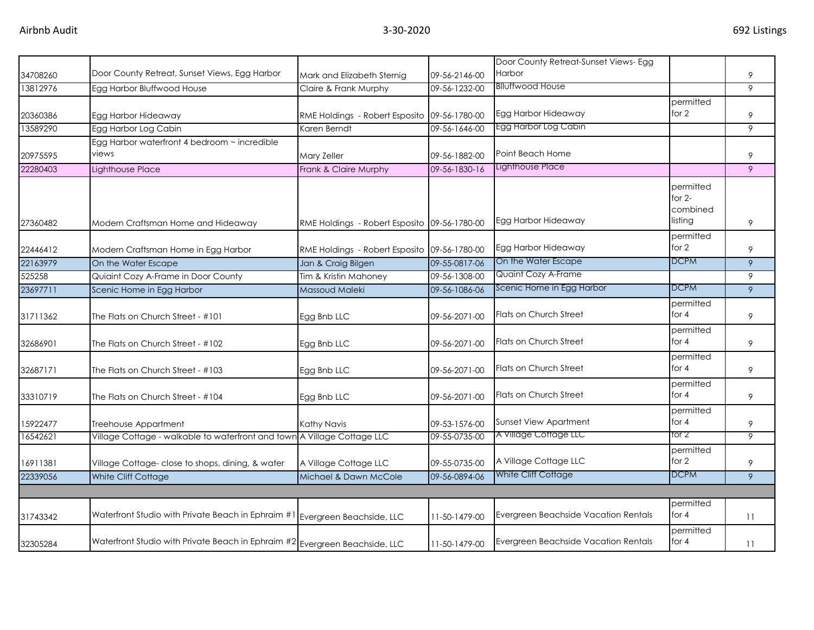|          |                                                                                |                                              |               | Door County Retreat-Sunset Views- Egg      |                                              |    |
|----------|--------------------------------------------------------------------------------|----------------------------------------------|---------------|--------------------------------------------|----------------------------------------------|----|
| 34708260 | Door County Retreat, Sunset Views, Egg Harbor                                  | Mark and Elizabeth Sternig                   | 09-56-2146-00 | <b>Harbor</b>                              |                                              | 9  |
| 13812976 | Egg Harbor Bluffwood House                                                     | Claire & Frank Murphy                        | 09-56-1232-00 | <b>Blluffwood House</b>                    |                                              | 9  |
| 20360386 | Egg Harbor Hideaway                                                            | RME Holdings - Robert Esposito 09-56-1780-00 |               | Egg Harbor Hideaway                        | permitted<br>for 2                           | 9  |
| 13589290 | Egg Harbor Log Cabin                                                           | Karen Berndt                                 | 09-56-1646-00 | Egg Harbor Log Cabin                       |                                              | 9  |
| 20975595 | Egg Harbor waterfront 4 bedroom ~ incredible<br>views                          | Mary Zeller                                  | 09-56-1882-00 | Point Beach Home                           |                                              | 9  |
| 22280403 | <b>Lighthouse Place</b>                                                        | Frank & Claire Murphy                        | 09-56-1830-16 | Lighthouse Place                           |                                              | 9  |
| 27360482 | Modern Craftsman Home and Hideaway                                             | RME Holdings - Robert Esposito 09-56-1780-00 |               | Egg Harbor Hideaway                        | permitted<br>for $2-$<br>combined<br>listing | 9  |
| 22446412 | Modern Craftsman Home in Egg Harbor                                            | RME Holdings - Robert Esposito 09-56-1780-00 |               | Egg Harbor Hideaway<br>On the Water Escape | permitted<br>for 2                           | 9  |
| 22163979 | On the Water Escape                                                            | Jan & Craig Bilgen                           | 09-55-0817-06 |                                            | <b>DCPM</b>                                  | 9  |
| 525258   | Quiaint Cozy A-Frame in Door County                                            | Tim & Kristin Mahoney                        | 09-56-1308-00 | Quaint Cozy A-Frame                        |                                              | 9  |
| 23697711 | Scenic Home in Egg Harbor                                                      | Massoud Maleki                               | 09-56-1086-06 | Scenic Home in Egg Harbor                  | <b>DCPM</b>                                  | 9  |
| 31711362 | The Flats on Church Street - #101                                              | Egg Bnb LLC                                  | 09-56-2071-00 | <b>Flats on Church Street</b>              | permitted<br>for $4$                         | 9  |
| 32686901 | The Flats on Church Street - #102                                              | Egg Bnb LLC                                  | 09-56-2071-00 | Flats on Church Street                     | permitted<br>for $4$                         | 9  |
| 32687171 | The Flats on Church Street - #103                                              | Egg Bnb LLC                                  | 09-56-2071-00 | Flats on Church Street                     | permitted<br>for $4$                         | 9  |
| 33310719 | The Flats on Church Street - #104                                              | Egg Bnb LLC                                  | 09-56-2071-00 | Flats on Church Street                     | permitted<br>for $4$                         | 9  |
| 15922477 | Treehouse Appartment                                                           | Kathy Navis                                  | 09-53-1576-00 | Sunset View Apartment                      | permitted<br>for 4                           | 9  |
| 16542621 | Village Cottage - walkable to waterfront and town A Village Cottage LLC        |                                              | 09-55-0735-00 | A Village Cottage LLC                      | tor 2                                        | 9  |
| 16911381 | Village Cottage- close to shops, dining, & water                               | A Village Cottage LLC                        | 09-55-0735-00 | A Village Cottage LLC                      | permitted<br>for 2                           | 9  |
| 22339056 | White Cliff Cottage                                                            | Michael & Dawn McCole                        | 09-56-0894-06 | White Cliff Cottage                        | <b>DCPM</b>                                  | 9  |
|          |                                                                                |                                              |               |                                            |                                              |    |
| 31743342 | Waterfront Studio with Private Beach in Ephraim #1 Evergreen Beachside, LLC    |                                              | 11-50-1479-00 | Evergreen Beachside Vacation Rentals       | permitted<br>for $4$                         | 11 |
| 32305284 | Waterfront Studio with Private Beach in Ephraim $\#2$ Evergreen Beachside, LLC |                                              | 11-50-1479-00 | Evergreen Beachside Vacation Rentals       | permitted<br>for 4                           | 11 |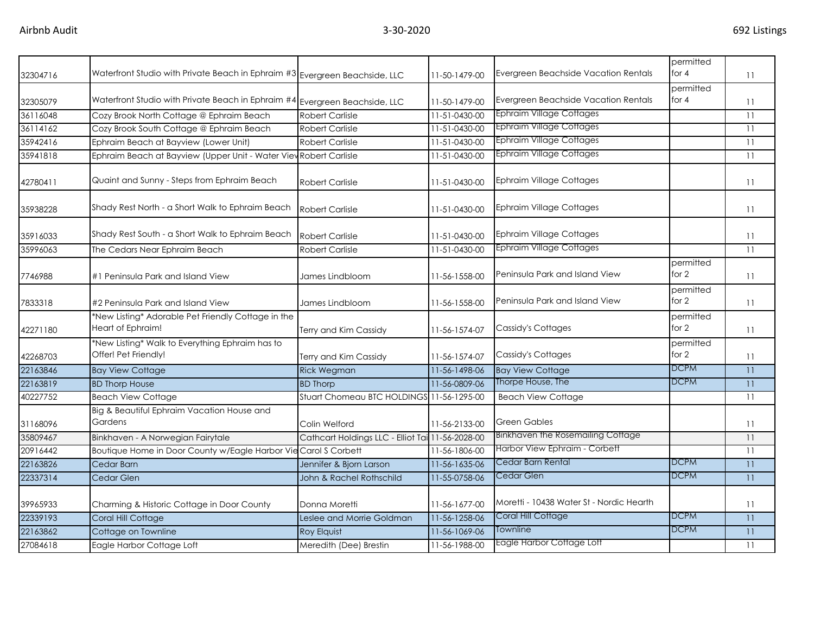|          |                                                                                |                                                  |               |                                          | permitted            |                 |
|----------|--------------------------------------------------------------------------------|--------------------------------------------------|---------------|------------------------------------------|----------------------|-----------------|
| 32304716 | Waterfront Studio with Private Beach in Ephraim $\#3$ Evergreen Beachside, LLC |                                                  | 11-50-1479-00 | Evergreen Beachside Vacation Rentals     | for $4$              | 11              |
|          |                                                                                |                                                  |               |                                          | permitted            |                 |
| 32305079 | Waterfront Studio with Private Beach in Ephraim #4 Evergreen Beachside, LLC    |                                                  | 11-50-1479-00 | Evergreen Beachside Vacation Rentals     | for $4$              | 11              |
| 36116048 | Cozy Brook North Cottage @ Ephraim Beach                                       | <b>Robert Carlisle</b>                           | 11-51-0430-00 | Ephraim Village Cottages                 |                      | 11              |
| 36114162 | Cozy Brook South Cottage @ Ephraim Beach                                       | <b>Robert Carlisle</b>                           | 11-51-0430-00 | Ephraim Village Cottages                 |                      | 11              |
| 35942416 | Ephraim Beach at Bayview (Lower Unit)                                          | <b>Robert Carlisle</b>                           | 11-51-0430-00 | Ephraim Village Cottages                 |                      | 11              |
| 35941818 | Ephraim Beach at Bayview (Upper Unit - Water View Robert Carlisle              |                                                  | 11-51-0430-00 | Ephraim Village Cottages                 |                      | 11              |
| 42780411 | Quaint and Sunny - Steps from Ephraim Beach                                    | <b>Robert Carlisle</b>                           | 11-51-0430-00 | <b>Ephraim Village Cottages</b>          |                      | 11              |
| 35938228 | Shady Rest North - a Short Walk to Ephraim Beach                               | <b>Robert Carlisle</b>                           | 11-51-0430-00 | <b>Ephraim Village Cottages</b>          |                      | 11              |
| 35916033 | Shady Rest South - a Short Walk to Ephraim Beach                               | <b>Robert Carlisle</b>                           | 11-51-0430-00 | <b>Ephraim Village Cottages</b>          |                      | 11              |
| 35996063 | The Cedars Near Ephraim Beach                                                  | <b>Robert Carlisle</b>                           | 11-51-0430-00 | <b>Ephraim Village Cottages</b>          |                      | 11              |
| 7746988  | #1 Peninsula Park and Island View                                              | James Lindbloom                                  | 11-56-1558-00 | Peninsula Park and Island View           | permitted<br>for 2   | 11              |
| 7833318  | #2 Peninsula Park and Island View                                              | James Lindbloom                                  | 11-56-1558-00 | Peninsula Park and Island View           | permitted<br>for 2   | 11              |
| 42271180 | *New Listing* Adorable Pet Friendly Cottage in the<br>Heart of Ephraim!        | Terry and Kim Cassidy                            | 11-56-1574-07 | Cassidy's Cottages                       | permitted<br>for $2$ | 11              |
| 42268703 | *New Listing* Walk to Everything Ephraim has to<br>Offer! Pet Friendly!        | Terry and Kim Cassidy                            | 11-56-1574-07 | Cassidy's Cottages                       | permitted<br>for $2$ | 11              |
| 22163846 | <b>Bay View Cottage</b>                                                        | <b>Rick Wegman</b>                               | 11-56-1498-06 | <b>Bay View Cottage</b>                  | <b>DCPM</b>          | 11              |
| 22163819 | <b>BD Thorp House</b>                                                          | <b>BD Thorp</b>                                  | 11-56-0809-06 | Thorpe House, The                        | <b>DCPM</b>          | 11              |
| 40227752 | <b>Beach View Cottage</b>                                                      | Stuart Chomeau BTC HOLDINGS 11-56-1295-00        |               | <b>Beach View Cottage</b>                |                      | 11              |
| 31168096 | Big & Beautiful Ephraim Vacation House and<br>Gardens                          | Colin Welford                                    | 11-56-2133-00 | Green Gables                             |                      | 11              |
| 35809467 | Binkhaven - A Norwegian Fairytale                                              | Cathcart Holdings LLC - Elliot Tai 11-56-2028-00 |               | Binkhaven the Rosemailing Cottage        |                      | 11              |
| 20916442 | Boutique Home in Door County w/Eagle Harbor Vie Carol S Corbett                |                                                  | 11-56-1806-00 | Harbor View Ephraim - Corbett            |                      | 11              |
| 22163826 | Cedar Barn                                                                     | Jennifer & Bjorn Larson                          | 11-56-1635-06 | Cedar Barn Rental                        | <b>DCPM</b>          | 11              |
| 22337314 | Cedar Glen                                                                     | John & Rachel Rothschild                         | 11-55-0758-06 | Cedar Glen                               | <b>DCPM</b>          | $\overline{11}$ |
| 39965933 | Charming & Historic Cottage in Door County                                     | Donna Moretti                                    | 11-56-1677-00 | Moretti - 10438 Water St - Nordic Hearth |                      | 11              |
| 22339193 | Coral Hill Cottage                                                             | Leslee and Morrie Goldman                        | 11-56-1258-06 | Coral Hill Cottage                       | <b>DCPM</b>          | 11              |
| 22163862 | Cottage on Townline                                                            | <b>Roy Elquist</b>                               | 11-56-1069-06 | Townline                                 | <b>DCPM</b>          | $\overline{11}$ |
| 27084618 | Eagle Harbor Cottage Loft                                                      | Meredith (Dee) Brestin                           | 11-56-1988-00 | Eagle Harbor Cottage Loft                |                      | 11              |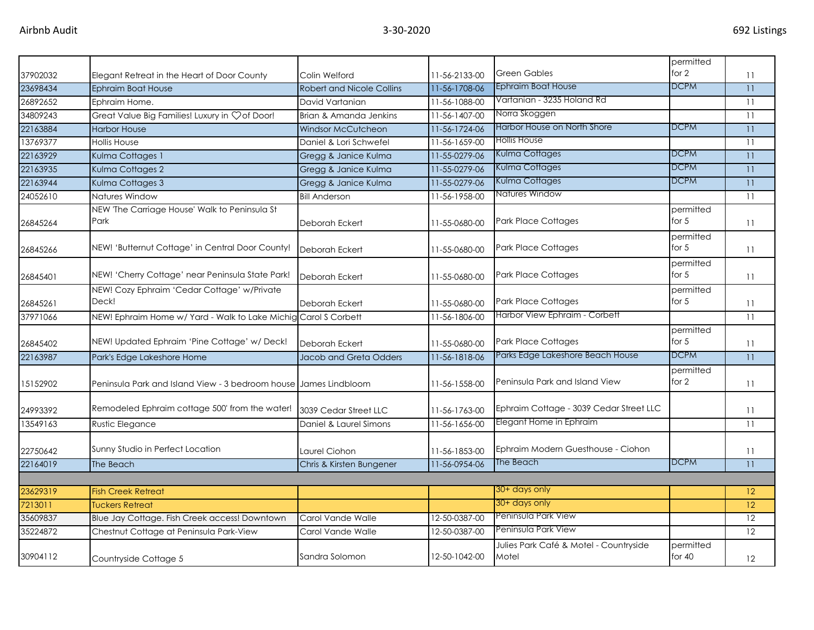|          |                                                                  |                                  |               |                                                 | permitted             |    |
|----------|------------------------------------------------------------------|----------------------------------|---------------|-------------------------------------------------|-----------------------|----|
| 37902032 | Elegant Retreat in the Heart of Door County                      | Colin Welford                    | 11-56-2133-00 | <b>Green Gables</b>                             | for 2                 | 11 |
| 23698434 | <b>Ephraim Boat House</b>                                        | <b>Robert and Nicole Collins</b> | 11-56-1708-06 | <b>Ephraim Boat House</b>                       | <b>DCPM</b>           | 11 |
| 26892652 | Ephraim Home.                                                    | David Vartanian                  | 11-56-1088-00 | Vartanian - 3235 Holand Rd                      |                       | 11 |
| 34809243 | Great Value Big Families! Luxury in Çof Door!                    | Brian & Amanda Jenkins           | 11-56-1407-00 | Norra Skoggen                                   |                       | 11 |
| 22163884 | <b>Harbor House</b>                                              | <b>Windsor McCutcheon</b>        | 11-56-1724-06 | Harbor House on North Shore                     | <b>DCPM</b>           | 11 |
| 13769377 | <b>Hollis House</b>                                              | Daniel & Lori Schwefel           | 11-56-1659-00 | <b>Hollis House</b>                             |                       | 11 |
| 22163929 | Kulma Cottages 1                                                 | Gregg & Janice Kulma             | 11-55-0279-06 | Kulma Cottages                                  | <b>DCPM</b>           | 11 |
| 22163935 | Kulma Cottages 2                                                 | Gregg & Janice Kulma             | 11-55-0279-06 | Kulma Cottages                                  | <b>DCPM</b>           | 11 |
| 22163944 | Kulma Cottages 3                                                 | Gregg & Janice Kulma             | 11-55-0279-06 | Kulma Cottages                                  | <b>DCPM</b>           | 11 |
| 24052610 | Natures Window                                                   | <b>Bill Anderson</b>             | 11-56-1958-00 | Natures Window                                  |                       | 11 |
| 26845264 | NEW 'The Carriage House' Walk to Peninsula St<br>Park            | Deborah Eckert                   | 11-55-0680-00 | <b>Park Place Cottages</b>                      | permitted<br>for $5$  | 11 |
| 26845266 | NEW! 'Butternut Cottage' in Central Door County!                 | Deborah Eckert                   | 11-55-0680-00 | <b>Park Place Cottages</b>                      | permitted<br>for $5$  | 11 |
| 26845401 | NEW! 'Cherry Cottage' near Peninsula State Park!                 | Deborah Eckert                   | 11-55-0680-00 | <b>Park Place Cottages</b>                      | permitted<br>for $5$  | 11 |
| 26845261 | NEW! Cozy Ephraim 'Cedar Cottage' w/Private<br>Deck!             | Deborah Eckert                   | 11-55-0680-00 | Park Place Cottages                             | permitted<br>for $5$  | 11 |
| 37971066 | NEW! Ephraim Home w/ Yard - Walk to Lake Michig Carol S Corbett  |                                  | 11-56-1806-00 | Harbor View Ephraim - Corbett                   |                       | 11 |
| 26845402 | NEW! Updated Ephraim 'Pine Cottage' w/ Deck!                     | Deborah Eckert                   | 11-55-0680-00 | <b>Park Place Cottages</b>                      | permitted<br>for $5$  | 11 |
| 22163987 | Park's Edge Lakeshore Home                                       | Jacob and Greta Odders           | 11-56-1818-06 | Parks Edge Lakeshore Beach House                | <b>DCPM</b>           | 11 |
| 15152902 | Peninsula Park and Island View - 3 bedroom house James Lindbloom |                                  | 11-56-1558-00 | Peninsula Park and Island View                  | permitted<br>for 2    | 11 |
| 24993392 | Remodeled Ephraim cottage 500' from the water!                   | 3039 Cedar Street LLC            | 11-56-1763-00 | Ephraim Cottage - 3039 Cedar Street LLC         |                       | 11 |
| 13549163 | Rustic Elegance                                                  | Daniel & Laurel Simons           | 11-56-1656-00 | Elegant Home in Ephraim                         |                       | 11 |
| 22750642 | Sunny Studio in Perfect Location                                 | Laurel Ciohon                    | 11-56-1853-00 | Ephraim Modern Guesthouse - Ciohon              |                       | 11 |
| 22164019 | The Beach                                                        | Chris & Kirsten Bungener         | 11-56-0954-06 | The Beach                                       | <b>DCPM</b>           | 11 |
|          |                                                                  |                                  |               |                                                 |                       |    |
| 23629319 | <b>Fish Creek Retreat</b>                                        |                                  |               | 30+ days only                                   |                       | 12 |
| 7213011  | <b>Tuckers Retreat</b>                                           |                                  |               | 30+ days only                                   |                       | 12 |
| 35609837 | Blue Jay Cottage. Fish Creek access! Downtown                    | Carol Vande Walle                | 12-50-0387-00 | Peninsula Park View                             |                       | 12 |
| 35224872 | Chestnut Cottage at Peninsula Park-View                          | Carol Vande Walle                | 12-50-0387-00 | Peninsula Park View                             |                       | 12 |
| 30904112 | Countryside Cottage 5                                            | Sandra Solomon                   | 12-50-1042-00 | Julies Park Café & Motel - Countryside<br>Motel | permitted<br>for $40$ | 12 |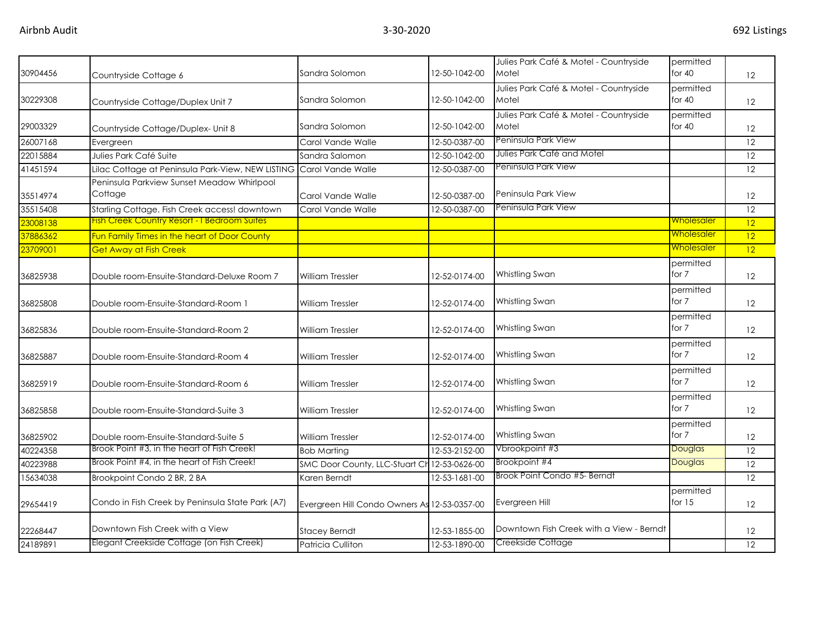|          |                                                       |                                              |               | Julies Park Café & Motel - Countryside          | permitted             |                   |
|----------|-------------------------------------------------------|----------------------------------------------|---------------|-------------------------------------------------|-----------------------|-------------------|
| 30904456 | Countryside Cottage 6                                 | Sandra Solomon                               | 12-50-1042-00 | Motel                                           | for $40$              | 12                |
| 30229308 | Countryside Cottage/Duplex Unit 7                     | Sandra Solomon                               | 12-50-1042-00 | Julies Park Café & Motel - Countryside<br>Motel | permitted<br>for $40$ | 12                |
|          |                                                       |                                              |               | Julies Park Café & Motel - Countryside          | permitted             |                   |
| 29003329 | Countryside Cottage/Duplex- Unit 8                    | Sandra Solomon                               | 12-50-1042-00 | Motel                                           | for $40$              | 12                |
| 26007168 | Evergreen                                             | Carol Vande Walle                            | 12-50-0387-00 | Peninsula Park View                             |                       | 12                |
| 22015884 | Julies Park Café Suite                                | Sandra Salomon                               | 12-50-1042-00 | Julies Park Café and Motel                      |                       | 12                |
| 41451594 | Lilac Cottage at Peninsula Park-View, NEW LISTING     | Carol Vande Walle                            | 12-50-0387-00 | Peninsula Park View                             |                       | 12                |
| 35514974 | Peninsula Parkview Sunset Meadow Whirlpool<br>Cottage | Carol Vande Walle                            | 12-50-0387-00 | Peninsula Park View                             |                       | 12                |
| 35515408 | Starling Cottage. Fish Creek access! downtown         | Carol Vande Walle                            | 12-50-0387-00 | Peninsula Park View                             |                       | 12                |
| 23008138 | <b>Fish Creek Country Resort - I Bedroom Suites</b>   |                                              |               |                                                 | <u>Wholesaler</u>     | 12                |
| 37886362 | Fun Family Times in the heart of Door County          |                                              |               |                                                 | <u>Wholesaler</u>     | 12                |
| 23709001 | <b>Get Away at Fish Creek</b>                         |                                              |               |                                                 | <u>Wholesaler</u>     | 12                |
| 36825938 | Double room-Ensuite-Standard-Deluxe Room 7            | <b>William Tressler</b>                      | 12-52-0174-00 | Whistling Swan                                  | permitted<br>for 7    | 12                |
| 36825808 | Double room-Ensuite-Standard-Room 1                   | William Tressler                             | 12-52-0174-00 | Whistling Swan                                  | permitted<br>for 7    | 12                |
| 36825836 | Double room-Ensuite-Standard-Room 2                   | <b>William Tressler</b>                      | 12-52-0174-00 | Whistling Swan                                  | permitted<br>for 7    | $12 \overline{ }$ |
| 36825887 | Double room-Ensuite-Standard-Room 4                   | <b>William Tressler</b>                      | 12-52-0174-00 | Whistling Swan                                  | permitted<br>for 7    | $12 \overline{ }$ |
| 36825919 | Double room-Ensuite-Standard-Room 6                   | William Tressler                             | 12-52-0174-00 | Whistling Swan                                  | permitted<br>for 7    | 12                |
| 36825858 | Double room-Ensuite-Standard-Suite 3                  | <b>William Tressler</b>                      | 12-52-0174-00 | Whistling Swan                                  | permitted<br>for 7    | $12 \overline{ }$ |
| 36825902 | Double room-Ensuite-Standard-Suite 5                  | <b>William Tressler</b>                      | 12-52-0174-00 | Whistling Swan                                  | permitted<br>for 7    | 12                |
| 40224358 | Brook Point #3, in the heart of Fish Creek!           | <b>Bob Marting</b>                           | 12-53-2152-00 | Vbrookpoint #3                                  | Douglas               | $\overline{12}$   |
| 40223988 | Brook Point #4, in the heart of Fish Creek!           | SMC Door County, LLC-Stuart Ch               | 12-53-0626-00 | Brookpoint #4                                   | <b>Douglas</b>        | $\overline{12}$   |
| 15634038 | Brookpoint Condo 2 BR, 2 BA                           | Karen Berndt                                 | 12-53-1681-00 | Brook Point Condo #5- Berndt                    |                       | 12                |
| 29654419 | Condo in Fish Creek by Peninsula State Park (A7)      | Evergreen Hill Condo Owners As 12-53-0357-00 |               | Evergreen Hill                                  | permitted<br>for $15$ | 12                |
| 22268447 | Downtown Fish Creek with a View                       | <b>Stacey Berndt</b>                         | 12-53-1855-00 | Downtown Fish Creek with a View - Berndt        |                       | 12                |
| 24189891 | Elegant Creekside Cottage (on Fish Creek)             | Patricia Culliton                            | 12-53-1890-00 | Creekside Cottage                               |                       | $\overline{12}$   |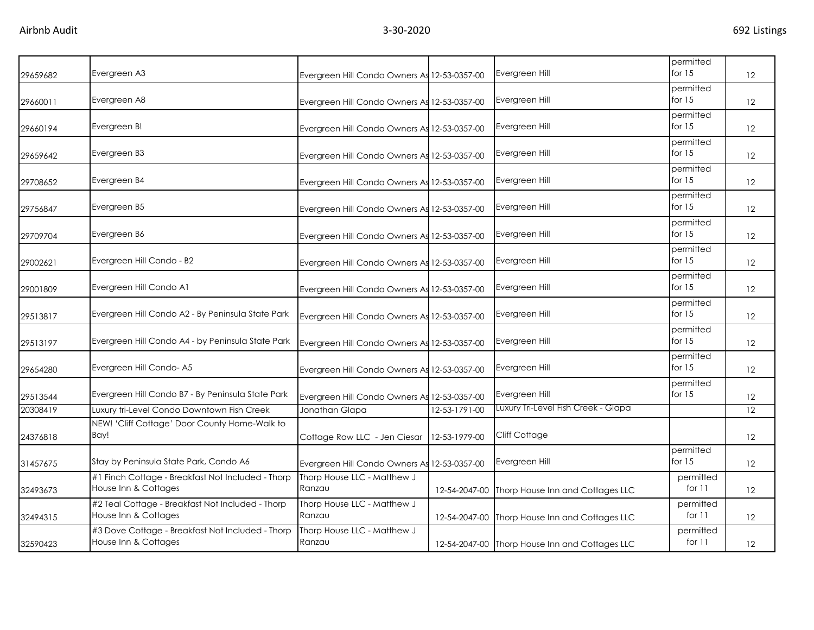| 29659682 | Evergreen A3                                                              | Evergreen Hill Condo Owners As 12-53-0357-00 |               | Evergreen Hill                                 | permitted<br>for $15$ | 12                |
|----------|---------------------------------------------------------------------------|----------------------------------------------|---------------|------------------------------------------------|-----------------------|-------------------|
| 29660011 | Evergreen A8                                                              | Evergreen Hill Condo Owners As 12-53-0357-00 |               | Evergreen Hill                                 | permitted<br>for $15$ | 12                |
| 29660194 | Evergreen B!                                                              | Evergreen Hill Condo Owners As 12-53-0357-00 |               | Evergreen Hill                                 | permitted<br>for $15$ | $12 \overline{ }$ |
| 29659642 | Evergreen B3                                                              | Evergreen Hill Condo Owners As 12-53-0357-00 |               | Evergreen Hill                                 | permitted<br>for $15$ | 12                |
| 29708652 | Evergreen B4                                                              | Evergreen Hill Condo Owners As 12-53-0357-00 |               | Evergreen Hill                                 | permitted<br>for $15$ | $12 \overline{ }$ |
| 29756847 | Evergreen B5                                                              | Evergreen Hill Condo Owners As 12-53-0357-00 |               | Evergreen Hill                                 | permitted<br>for $15$ | $12 \overline{ }$ |
| 29709704 | Evergreen B6                                                              | Evergreen Hill Condo Owners As 12-53-0357-00 |               | Evergreen Hill                                 | permitted<br>for $15$ | 12                |
| 29002621 | Evergreen Hill Condo - B2                                                 | Evergreen Hill Condo Owners As 12-53-0357-00 |               | Evergreen Hill                                 | permitted<br>for $15$ | 12                |
| 29001809 | Evergreen Hill Condo A1                                                   | Evergreen Hill Condo Owners As 12-53-0357-00 |               | Evergreen Hill                                 | permitted<br>for $15$ | 12                |
| 29513817 | Evergreen Hill Condo A2 - By Peninsula State Park                         | Evergreen Hill Condo Owners As 12-53-0357-00 |               | Evergreen Hill                                 | permitted<br>for $15$ | 12                |
| 29513197 | Evergreen Hill Condo A4 - by Peninsula State Park                         | Evergreen Hill Condo Owners As 12-53-0357-00 |               | Evergreen Hill                                 | permitted<br>for $15$ | 12                |
| 29654280 | Evergreen Hill Condo-A5                                                   | Evergreen Hill Condo Owners As 12-53-0357-00 |               | Evergreen Hill                                 | permitted<br>for $15$ | 12                |
| 29513544 | Evergreen Hill Condo B7 - By Peninsula State Park                         | Evergreen Hill Condo Owners As 12-53-0357-00 |               | Evergreen Hill                                 | permitted<br>for $15$ | 12                |
| 20308419 | Luxury tri-Level Condo Downtown Fish Creek                                | Jonathan Glapa                               | 12-53-1791-00 | Luxury Tri-Level Fish Creek - Glapa            |                       | 12                |
| 24376818 | NEW! 'Cliff Cottage' Door County Home-Walk to<br>Bay!                     | Cottage Row LLC - Jen Ciesar                 | 12-53-1979-00 | Cliff Cottage                                  |                       | $12 \overline{ }$ |
| 31457675 | Stay by Peninsula State Park, Condo A6                                    | Evergreen Hill Condo Owners As 12-53-0357-00 |               | Evergreen Hill                                 | permitted<br>for $15$ | $12 \overline{ }$ |
| 32493673 | #1 Finch Cottage - Breakfast Not Included - Thorp<br>House Inn & Cottages | Thorp House LLC - Matthew J<br>Ranzau        |               | 12-54-2047-00 Thorp House Inn and Cottages LLC | permitted<br>for $11$ | 12                |
| 32494315 | #2 Teal Cottage - Breakfast Not Included - Thorp<br>House Inn & Cottages  | Thorp House LLC - Matthew J<br>Ranzau        |               | 12-54-2047-00 Thorp House Inn and Cottages LLC | permitted<br>for $11$ | 12                |
| 32590423 | #3 Dove Cottage - Breakfast Not Included - Thorp<br>House Inn & Cottages  | Thorp House LLC - Matthew J<br>Ranzau        |               | 12-54-2047-00 Thorp House Inn and Cottages LLC | permitted<br>for $11$ | 12                |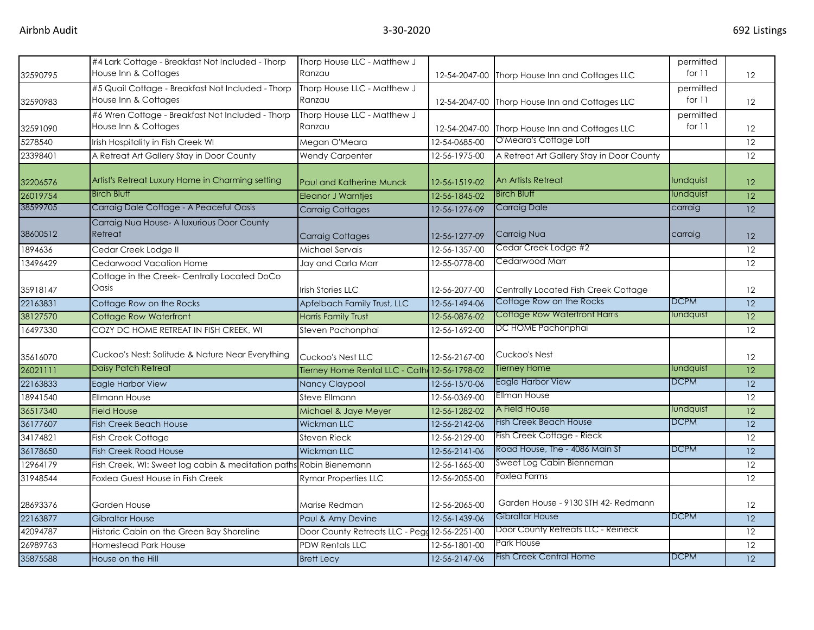| 32590795 | #4 Lark Cottage - Breakfast Not Included - Thorp<br>House Inn & Cottages  | Thorp House LLC - Matthew J<br>Ranzau         | 12-54-2047-00 | Thorp House Inn and Cottages LLC          | permitted<br>for 11   | 12              |
|----------|---------------------------------------------------------------------------|-----------------------------------------------|---------------|-------------------------------------------|-----------------------|-----------------|
| 32590983 | #5 Quail Cottage - Breakfast Not Included - Thorp<br>House Inn & Cottages | Thorp House LLC - Matthew J<br>Ranzau         | 12-54-2047-00 | Thorp House Inn and Cottages LLC          | permitted<br>for $11$ | 12              |
| 32591090 | #6 Wren Cottage - Breakfast Not Included - Thorp<br>House Inn & Cottages  | Thorp House LLC - Matthew J<br>Ranzau         | 12-54-2047-00 | Thorp House Inn and Cottages LLC          | permitted<br>for 11   | 12              |
| 5278540  | Irish Hospitality in Fish Creek WI                                        | Megan O'Meara                                 | 12-54-0685-00 | O'Meara's Cottage Loft                    |                       | 12              |
| 23398401 | A Retreat Art Gallery Stay in Door County                                 | <b>Wendy Carpenter</b>                        | 12-56-1975-00 | A Retreat Art Gallery Stay in Door County |                       | 12              |
| 32206576 | Artist's Retreat Luxury Home in Charming setting                          | <b>Paul and Katherine Munck</b>               | 12-56-1519-02 | An Artists Retreat                        | lundquist             | 12              |
| 26019754 | <b>Birch Bluff</b>                                                        | <b>Eleanor J Warntjes</b>                     | 12-56-1845-02 | <b>Birch Bluff</b>                        | lundquist             | 12              |
| 38599705 | Carraig Dale Cottage - A Peaceful Oasis                                   | <b>Carraig Cottages</b>                       | 12-56-1276-09 | <b>Carraig Dale</b>                       | carraig               | 12              |
| 38600512 | Carraig Nua House- A luxurious Door County<br>Retreat                     | <b>Carraig Cottages</b>                       | 12-56-1277-09 | Carraig Nua                               | carraig               | 12              |
| 1894636  | Cedar Creek Lodge II                                                      | Michael Servais                               | 12-56-1357-00 | Cedar Creek Lodge #2                      |                       | 12              |
| 13496429 | Cedarwood Vacation Home                                                   | Jay and Carla Marr                            | 12-55-0778-00 | Cedarwood Marr                            |                       | $\overline{12}$ |
| 35918147 | Cottage in the Creek- Centrally Located DoCo<br>Oasis                     | <b>Irish Stories LLC</b>                      | 12-56-2077-00 | Centrally Located Fish Creek Cottage      |                       | 12              |
| 22163831 | Cottage Row on the Rocks                                                  | Apfelbach Family Trust, LLC                   | 12-56-1494-06 | Cottage Row on the Rocks                  | <b>DCPM</b>           | 12              |
| 38127570 | Cottage Row Waterfront                                                    | <b>Harris Family Trust</b>                    | 12-56-0876-02 | Cottage Row Waterfront Harris             | lundquist             | 12              |
| 16497330 | COZY DC HOME RETREAT IN FISH CREEK, WI                                    | Steven Pachonphai                             | 12-56-1692-00 | DC HOME Pachonphai                        |                       | 12              |
| 35616070 | Cuckoo's Nest: Solitude & Nature Near Everything                          | Cuckoo's Nest LLC                             | 12-56-2167-00 | Cuckoo's Nest                             |                       | 12              |
| 26021111 | Daisy Patch Retreat                                                       | Tierney Home Rental LLC - Cath: 12-56-1798-02 |               | Tierney Home                              | lundquist             | 12              |
| 22163833 | Eagle Harbor View                                                         | Nancy Claypool                                | 12-56-1570-06 | <b>Eagle Harbor View</b>                  | <b>DCPM</b>           | $\overline{12}$ |
| 18941540 | <b>Ellmann House</b>                                                      | Steve Ellmann                                 | 12-56-0369-00 | <b>Ellman House</b>                       |                       | 12              |
| 36517340 | <b>Field House</b>                                                        | Michael & Jaye Meyer                          | 12-56-1282-02 | A Field House                             | lundquist             | 12              |
| 36177607 | <b>Fish Creek Beach House</b>                                             | <b>Wickman LLC</b>                            | 12-56-2142-06 | <b>Fish Creek Beach House</b>             | <b>DCPM</b>           | 12              |
| 34174821 | Fish Creek Cottage                                                        | Steven Rieck                                  | 12-56-2129-00 | Fish Creek Cottage - Rieck                |                       | 12              |
| 36178650 | <b>Fish Creek Road House</b>                                              | <b>Wickman LLC</b>                            | 12-56-2141-06 | Road House, The - 4086 Main St            | <b>DCPM</b>           | 12              |
| 12964179 | Fish Creek, WI: Sweet log cabin & meditation paths Robin Bienemann        |                                               | 12-56-1665-00 | Sweet Log Cabin Bienneman                 |                       | 12              |
| 31948544 | Foxlea Guest House in Fish Creek                                          | <b>Rymar Properties LLC</b>                   | 12-56-2055-00 | <b>Foxlea Farms</b>                       |                       | 12              |
| 28693376 | Garden House                                                              | Marise Redman                                 | 12-56-2065-00 | Garden House - 9130 STH 42- Redmann       |                       | 12              |
| 22163877 | <b>Gibraltar House</b>                                                    | Paul & Amy Devine                             | 12-56-1439-06 | Gibraltar House                           | <b>DCPM</b>           | 12              |
| 42094787 | Historic Cabin on the Green Bay Shoreline                                 | Door County Retreats LLC - Pegg 12-56-2251-00 |               | Door County Retreats LLC - Reineck        |                       | 12              |
| 26989763 | Homestead Park House                                                      | <b>PDW Rentals LLC</b>                        | 12-56-1801-00 | Park House                                |                       | 12              |
| 35875588 | House on the Hill                                                         | <b>Brett Lecy</b>                             | 12-56-2147-06 | <b>Fish Creek Central Home</b>            | <b>DCPM</b>           | $\overline{12}$ |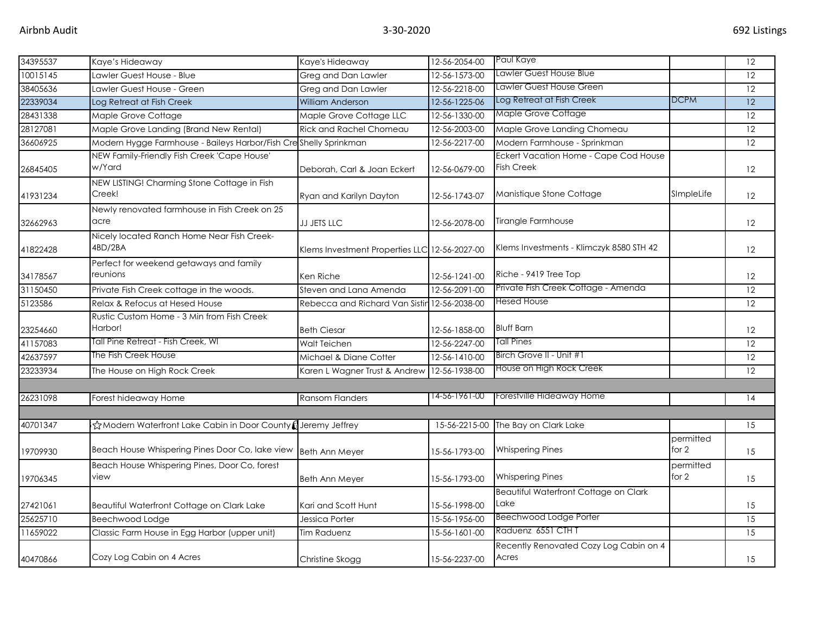| 34395537 | Kaye's Hideaway                                                  | Kaye's Hideaway                               | 12-56-2054-00 | Paul Kaye                                                  |                      | 12 |
|----------|------------------------------------------------------------------|-----------------------------------------------|---------------|------------------------------------------------------------|----------------------|----|
| 10015145 | Lawler Guest House - Blue                                        | Greg and Dan Lawler                           | 12-56-1573-00 | Lawler Guest House Blue                                    |                      | 12 |
| 38405636 | awler Guest House - Green                                        | Greg and Dan Lawler                           | 12-56-2218-00 | Lawler Guest House Green                                   |                      | 12 |
| 22339034 | Log Retreat at Fish Creek                                        | <b>William Anderson</b>                       | 12-56-1225-06 | Log Retreat at Fish Creek                                  | <b>DCPM</b>          | 12 |
| 28431338 | Maple Grove Cottage                                              | Maple Grove Cottage LLC                       | 12-56-1330-00 | Maple Grove Cottage                                        |                      | 12 |
| 28127081 | Maple Grove Landing (Brand New Rental)                           | <b>Rick and Rachel Chomeau</b>                | 12-56-2003-00 | Maple Grove Landing Chomeau                                |                      | 12 |
| 36606925 | Modern Hygge Farmhouse - Baileys Harbor/Fish Creshelly Sprinkman |                                               | 12-56-2217-00 | Modern Farmhouse - Sprinkman                               |                      | 12 |
| 26845405 | NEW Family-Friendly Fish Creek 'Cape House'<br>w/Yard            | Deborah, Carl & Joan Eckert                   | 12-56-0679-00 | Eckert Vacation Home - Cape Cod House<br><b>Fish Creek</b> |                      | 12 |
| 41931234 | NEW LISTING! Charming Stone Cottage in Fish<br>Creek!            | Ryan and Karilyn Dayton                       | 12-56-1743-07 | Manistique Stone Cottage                                   | SImpleLife           | 12 |
| 32662963 | Newly renovated farmhouse in Fish Creek on 25<br>acre            | <b>JJ JETS LLC</b>                            | 12-56-2078-00 | Tirangle Farmhouse                                         |                      | 12 |
| 41822428 | Nicely located Ranch Home Near Fish Creek-<br>4BD/2BA            | Klems Investment Properties LLC 12-56-2027-00 |               | Klems Investments - Klimczyk 8580 STH 42                   |                      | 12 |
| 34178567 | Perfect for weekend getaways and family<br>reunions              | Ken Riche                                     | 12-56-1241-00 | Riche - 9419 Tree Top                                      |                      | 12 |
| 31150450 | Private Fish Creek cottage in the woods.                         | Steven and Lana Amenda                        | 12-56-2091-00 | Private Fish Creek Cottage - Amenda                        |                      | 12 |
| 5123586  | Relax & Refocus at Hesed House                                   | Rebecca and Richard Van Sistir                | 12-56-2038-00 | Hesed House                                                |                      | 12 |
| 23254660 | Rustic Custom Home - 3 Min from Fish Creek<br>Harbor!            | <b>Beth Ciesar</b>                            | 12-56-1858-00 | <b>Bluff Barn</b>                                          |                      | 12 |
| 41157083 | Tall Pine Retreat - Fish Creek, WI                               | Walt Teichen                                  | 12-56-2247-00 | <b>Tall Pines</b>                                          |                      | 12 |
| 42637597 | The Fish Creek House                                             | Michael & Diane Cotter                        | 12-56-1410-00 | Birch Grove II - Unit #1                                   |                      | 12 |
| 23233934 | The House on High Rock Creek                                     | Karen L Wagner Trust & Andrew                 | 12-56-1938-00 | House on High Rock Creek                                   |                      | 12 |
|          |                                                                  |                                               |               |                                                            |                      |    |
| 26231098 | Forest hideaway Home                                             | <b>Ransom Flanders</b>                        | 14-56-1961-00 | Forestville Hideaway Home                                  |                      | 14 |
|          |                                                                  |                                               |               |                                                            |                      |    |
| 40701347 | ☆Modern Waterfront Lake Cabin in Door County (Jeremy Jeffrey     |                                               | 15-56-2215-00 | The Bay on Clark Lake                                      |                      | 15 |
| 19709930 | Beach House Whispering Pines Door Co, lake view                  | <b>Beth Ann Meyer</b>                         | 15-56-1793-00 | <b>Whispering Pines</b>                                    | permitted<br>for $2$ | 15 |
| 19706345 | Beach House Whispering Pines, Door Co, forest<br>view            | Beth Ann Meyer                                | 15-56-1793-00 | <b>Whispering Pines</b>                                    | permitted<br>for 2   | 15 |
| 27421061 | Beautiful Waterfront Cottage on Clark Lake                       | Kari and Scott Hunt                           | 15-56-1998-00 | Beautiful Waterfront Cottage on Clark<br>Lake              |                      | 15 |
| 25625710 | Beechwood Lodge                                                  | Jessica Porter                                | 15-56-1956-00 | <b>Beechwood Lodge Porter</b>                              |                      | 15 |
| 11659022 | Classic Farm House in Egg Harbor (upper unit)                    | Tim Raduenz                                   | 15-56-1601-00 | Raduenz 6551 CTH T                                         |                      | 15 |
| 40470866 | Cozy Log Cabin on 4 Acres                                        | Christine Skogg                               | 15-56-2237-00 | Recently Renovated Cozy Log Cabin on 4<br>Acres            |                      | 15 |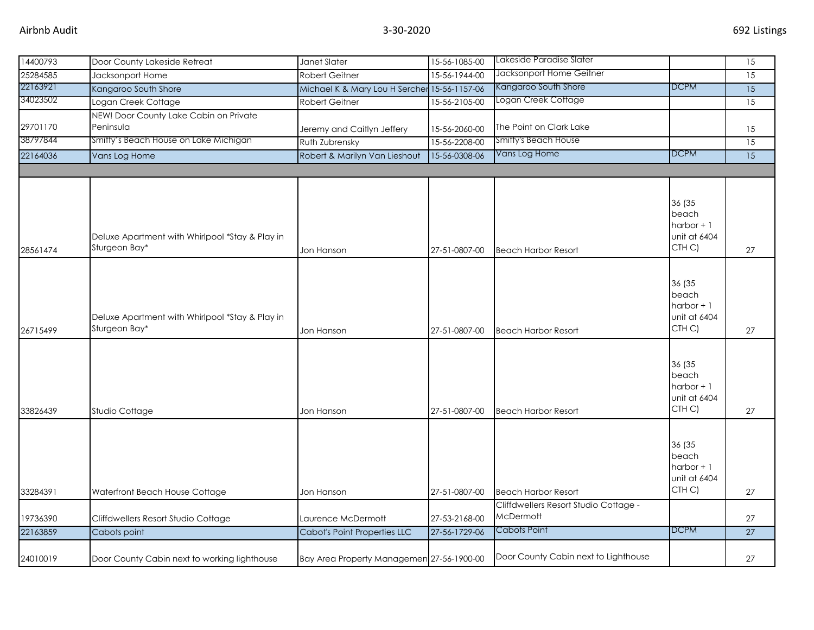| 14400793 | Door County Lakeside Retreat                                     | Janet Slater                                 | 15-56-1085-00 | Lakeside Paradise Slater              |                                                                      | $\overline{15}$ |
|----------|------------------------------------------------------------------|----------------------------------------------|---------------|---------------------------------------|----------------------------------------------------------------------|-----------------|
| 25284585 | Jacksonport Home                                                 | <b>Robert Geitner</b>                        | 15-56-1944-00 | Jacksonport Home Geitner              |                                                                      | 15              |
| 22163921 | Kangaroo South Shore                                             | Michael K & Mary Lou H Sercher 15-56-1157-06 |               | Kangaroo South Shore                  | <b>DCPM</b>                                                          | 15              |
| 34023502 | Logan Creek Cottage                                              | Robert Geitner                               | 15-56-2105-00 | Logan Creek Cottage                   |                                                                      | $\overline{15}$ |
| 29701170 | NEW! Door County Lake Cabin on Private<br>Peninsula              | Jeremy and Caitlyn Jeffery                   | 15-56-2060-00 | The Point on Clark Lake               |                                                                      | 15              |
| 38797844 | Smitty's Beach House on Lake Michigan                            | Ruth Zubrensky                               | 15-56-2208-00 | Smitty's Beach House                  |                                                                      | 15              |
| 22164036 | Vans Log Home                                                    | Robert & Marilyn Van Lieshout                | 15-56-0308-06 | Vans Log Home                         | <b>DCPM</b>                                                          | $\overline{15}$ |
|          |                                                                  |                                              |               |                                       |                                                                      |                 |
| 28561474 | Deluxe Apartment with Whirlpool *Stay & Play in<br>Sturgeon Bay* | Jon Hanson                                   | 27-51-0807-00 | <b>Beach Harbor Resort</b>            | 36 (35<br>beach<br>harbor $+1$<br>unit at 6404<br>CTH <sub>C</sub> ) | 27              |
| 26715499 | Deluxe Apartment with Whirlpool *Stay & Play in<br>Sturgeon Bay* | Jon Hanson                                   | 27-51-0807-00 | <b>Beach Harbor Resort</b>            | 36 (35<br>beach<br>harbor $+1$<br>unit at 6404<br>CTH C)             | 27              |
| 33826439 | Studio Cottage                                                   | Jon Hanson                                   | 27-51-0807-00 | <b>Beach Harbor Resort</b>            | 36 (35<br>beach<br>harbor $+1$<br>unit at 6404<br>CTH C)             | 27              |
| 33284391 | Waterfront Beach House Cottage                                   | Jon Hanson                                   | 27-51-0807-00 | <b>Beach Harbor Resort</b>            | 36 (35<br>beach<br>harbor $+1$<br>unit at 6404<br>CTH C)             | 27              |
|          |                                                                  |                                              |               | Cliffdwellers Resort Studio Cottage - |                                                                      |                 |
| 19736390 | Cliffdwellers Resort Studio Cottage                              | Laurence McDermott                           | 27-53-2168-00 | McDermott                             |                                                                      | 27              |
| 22163859 | Cabots point                                                     | <b>Cabot's Point Properties LLC</b>          | 27-56-1729-06 | <b>Cabots Point</b>                   | <b>DCPM</b>                                                          | 27              |
| 24010019 | Door County Cabin next to working lighthouse                     | Bay Area Property Managemen 27-56-1900-00    |               | Door County Cabin next to Lighthouse  |                                                                      | 27              |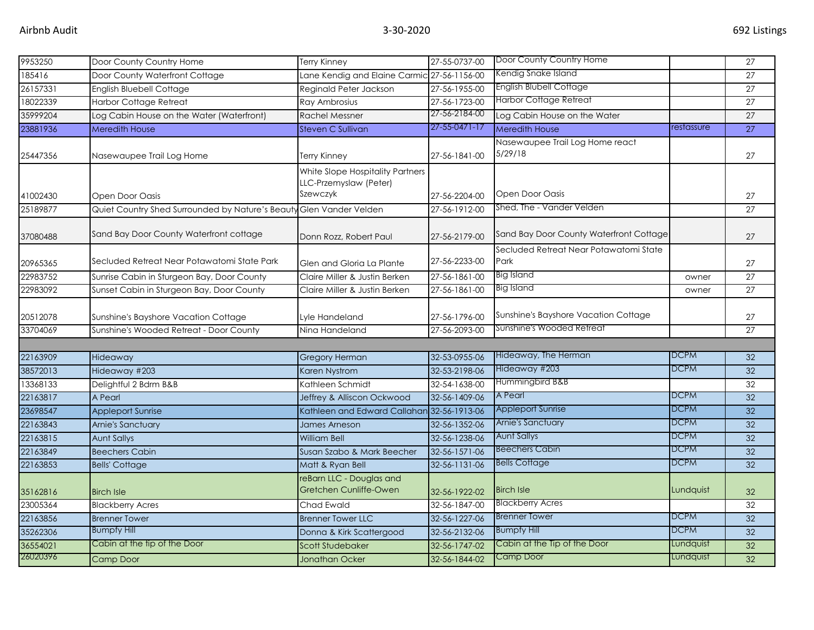| 9953250  | Door County Country Home                                            | <b>Terry Kinney</b>                                                    | 27-55-0737-00 | Door County Country Home                       |             | $\overline{27}$ |
|----------|---------------------------------------------------------------------|------------------------------------------------------------------------|---------------|------------------------------------------------|-------------|-----------------|
| 185416   | Door County Waterfront Cottage                                      | Lane Kendig and Elaine Carmic 27-56-1156-00                            |               | Kendig Snake Island                            |             | 27              |
| 26157331 | <b>English Bluebell Cottage</b>                                     | Reginald Peter Jackson                                                 | 27-56-1955-00 | English Blubell Cottage                        |             | $\overline{27}$ |
| 18022339 | <b>Harbor Cottage Retreat</b>                                       | Ray Ambrosius                                                          | 27-56-1723-00 | <b>Harbor Cottage Retreat</b>                  |             | 27              |
| 35999204 | Log Cabin House on the Water (Waterfront)                           | Rachel Messner                                                         | 27-56-2184-00 | Log Cabin House on the Water                   |             | 27              |
| 23881936 | <b>Meredith House</b>                                               | Steven C Sullivan                                                      | 27-55-0471-17 | <b>Meredith House</b>                          | restassure  | 27              |
| 25447356 | Nasewaupee Trail Log Home                                           | Terry Kinney                                                           | 27-56-1841-00 | Nasewaupee Trail Log Home react<br>5/29/18     |             | 27              |
|          |                                                                     | White Slope Hospitality Partners<br>LLC-Przemyslaw (Peter)<br>Szewczyk |               | Open Door Oasis                                |             |                 |
| 41002430 | Open Door Oasis                                                     |                                                                        | 27-56-2204-00 | Shed, The - Vander Velden                      |             | 27              |
| 25189877 | Quiet Country Shed Surrounded by Nature's Beauty Glen Vander Velden |                                                                        | 27-56-1912-00 |                                                |             | 27              |
| 37080488 | Sand Bay Door County Waterfront cottage                             | Donn Rozz, Robert Paul                                                 | 27-56-2179-00 | Sand Bay Door County Waterfront Cottage        |             | 27              |
| 20965365 | Secluded Retreat Near Potawatomi State Park                         | Glen and Gloria La Plante                                              | 27-56-2233-00 | Secluded Retreat Near Potawatomi State<br>Park |             | 27              |
| 22983752 | Sunrise Cabin in Sturgeon Bay, Door County                          | Claire Miller & Justin Berken                                          | 27-56-1861-00 | Big Island                                     | owner       | 27              |
| 22983092 | Sunset Cabin in Sturgeon Bay, Door County                           | Claire Miller & Justin Berken                                          | 27-56-1861-00 | Big Island                                     | owner       | 27              |
| 20512078 | Sunshine's Bayshore Vacation Cottage                                | Lyle Handeland                                                         | 27-56-1796-00 | Sunshine's Bayshore Vacation Cottage           |             | 27              |
| 33704069 | Sunshine's Wooded Retreat - Door County                             | Nina Handeland                                                         | 27-56-2093-00 | Sunshine's Wooded Retreat                      |             | 27              |
|          |                                                                     |                                                                        |               |                                                |             |                 |
| 22163909 | Hideaway                                                            | <b>Gregory Herman</b>                                                  | 32-53-0955-06 | Hideaway, The Herman                           | <b>DCPM</b> | 32              |
| 38572013 | Hideaway #203                                                       | Karen Nystrom                                                          | 32-53-2198-06 | Hideaway #203                                  | <b>DCPM</b> | 32              |
| 13368133 | Delightful 2 Bdrm B&B                                               | Kathleen Schmidt                                                       | 32-54-1638-00 | Hummingbird B&B                                |             | 32              |
| 22163817 | A Pearl                                                             | Jeffrey & Alliscon Ockwood                                             | 32-56-1409-06 | A Pearl                                        | <b>DCPM</b> | 32              |
| 23698547 | <b>Appleport Sunrise</b>                                            | Kathleen and Edward Callahan 32-56-1913-06                             |               | <b>Appleport Sunrise</b>                       | <b>DCPM</b> | 32 <sup>2</sup> |
| 22163843 | Arnie's Sanctuary                                                   | <b>James Arneson</b>                                                   | 32-56-1352-06 | Arnie's Sanctuary                              | <b>DCPM</b> | 32              |
| 22163815 | <b>Aunt Sallys</b>                                                  | <b>William Bell</b>                                                    | 32-56-1238-06 | <b>Aunt Sallys</b>                             | <b>DCPM</b> | 32              |
| 22163849 | <b>Beechers Cabin</b>                                               | Susan Szabo & Mark Beecher                                             | 32-56-1571-06 | <b>Beechers Cabin</b>                          | <b>DCPM</b> | 32              |
| 22163853 | <b>Bells' Cottage</b>                                               | Matt & Ryan Bell                                                       | 32-56-1131-06 | <b>Bells Cottage</b>                           | <b>DCPM</b> | 32              |
| 35162816 | <b>Birch Isle</b>                                                   | reBarn LLC - Douglas and<br>Gretchen Cunliffe-Owen                     | 32-56-1922-02 | <b>Birch Isle</b>                              | Lundquist   | 32              |
| 23005364 | <b>Blackberry Acres</b>                                             | Chad Ewald                                                             | 32-56-1847-00 | <b>Blackberry Acres</b>                        |             | 32              |
| 22163856 | <b>Brenner Tower</b>                                                | <b>Brenner Tower LLC</b>                                               | 32-56-1227-06 | <b>Brenner Tower</b>                           | <b>DCPM</b> | 32              |
| 35262306 | <b>Bumpfy Hill</b>                                                  | Donna & Kirk Scattergood                                               | 32-56-2132-06 | <b>Bumpfy Hill</b>                             | <b>DCPM</b> | 32              |
| 36554021 | Cabin at the tip of the Door                                        | Scott Studebaker                                                       | 32-56-1747-02 | Cabin at the Tip of the Door                   | Lundquist   | 32              |
| 26020396 | Camp Door                                                           | <b>Jonathan Ocker</b>                                                  | 32-56-1844-02 | <b>Camp Door</b>                               | Lundquist   | 32              |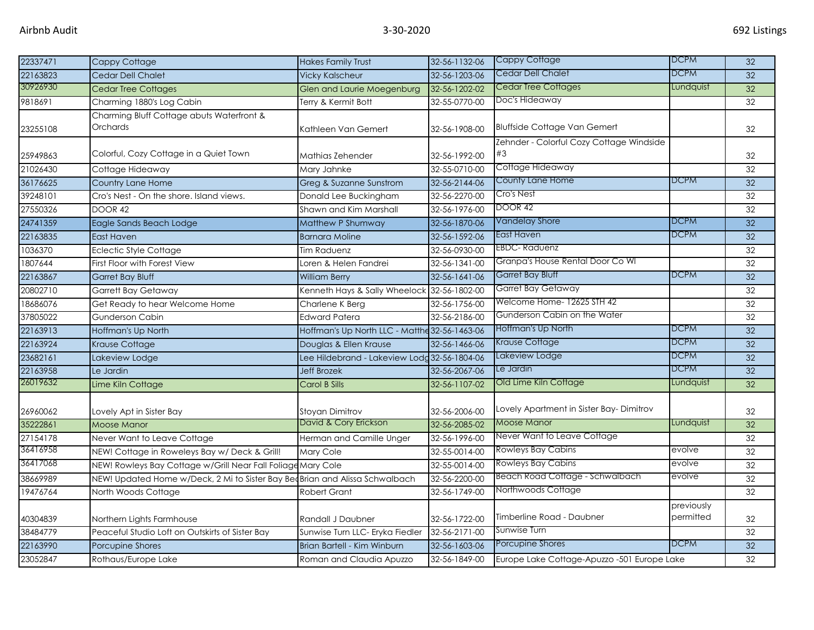| 22337471 | Cappy Cottage                                                               | <b>Hakes Family Trust</b>                     | 32-56-1132-06 | <b>Cappy Cottage</b>                           | <b>DCPM</b>             | 32 |
|----------|-----------------------------------------------------------------------------|-----------------------------------------------|---------------|------------------------------------------------|-------------------------|----|
| 22163823 | Cedar Dell Chalet                                                           | <b>Vicky Kalscheur</b>                        | 32-56-1203-06 | Cedar Dell Chalet                              | DCPM                    | 32 |
| 30926930 | <b>Cedar Tree Cottages</b>                                                  | Glen and Laurie Moegenburg                    | 32-56-1202-02 | <b>Cedar Tree Cottages</b>                     | Lundquist               | 32 |
| 9818691  | Charming 1880's Log Cabin                                                   | Terry & Kermit Bott                           | 32-55-0770-00 | Doc's Hideaway                                 |                         | 32 |
| 23255108 | Charming Bluff Cottage abuts Waterfront &<br><b>Orchards</b>                | Kathleen Van Gemert                           | 32-56-1908-00 | <b>Bluffside Cottage Van Gemert</b>            |                         | 32 |
| 25949863 | Colorful, Cozy Cottage in a Quiet Town                                      | Mathias Zehender                              | 32-56-1992-00 | Zehnder - Colorful Cozy Cottage Windside<br>#3 |                         | 32 |
| 21026430 | Cottage Hideaway                                                            | Mary Jahnke                                   | 32-55-0710-00 | Cottage Hideaway                               |                         | 32 |
| 36176625 | Country Lane Home                                                           | Greg & Suzanne Sunstrom                       | 32-56-2144-06 | County Lane Home                               | <b>DCPM</b>             | 32 |
| 39248101 | Cro's Nest - On the shore. Island views.                                    | Donald Lee Buckingham                         | 32-56-2270-00 | Cro's Nest                                     |                         | 32 |
| 27550326 | DOOR 42                                                                     | Shawn and Kim Marshall                        | 32-56-1976-00 | DOOR 42                                        |                         | 32 |
| 24741359 | Eagle Sands Beach Lodge                                                     | Matthew P Shumway                             | 32-56-1870-06 | <b>Vandelay Shore</b>                          | <b>DCPM</b>             | 32 |
| 22163835 | <b>East Haven</b>                                                           | <b>Barnara Moline</b>                         | 32-56-1592-06 | East Haven                                     | <b>DCPM</b>             | 32 |
| 1036370  | <b>Eclectic Style Cottage</b>                                               | Tim Raduenz                                   | 32-56-0930-00 | <b>EBDC-Raduenz</b>                            |                         | 32 |
| 1807644  | First Floor with Forest View                                                | Loren & Helen Fandrei                         | 32-56-1341-00 | Granpa's House Rental Door Co WI               |                         | 32 |
| 22163867 | <b>Garret Bay Bluff</b>                                                     | <b>William Berry</b>                          | 32-56-1641-06 | Garret Bay Bluff                               | <b>DCPM</b>             | 32 |
| 20802710 | <b>Garrett Bay Getaway</b>                                                  | Kenneth Hays & Sally Wheelock 32-56-1802-00   |               | Garret Bay Getaway                             |                         | 32 |
| 18686076 | Get Ready to hear Welcome Home                                              | Charlene K Berg                               | 32-56-1756-00 | Welcome Home-12625 STH 42                      |                         | 32 |
| 37805022 | Gunderson Cabin                                                             | <b>Edward Patera</b>                          | 32-56-2186-00 | Gunderson Cabin on the Water                   |                         | 32 |
| 22163913 | Hoffman's Up North                                                          | Hoffman's Up North LLC - Matthe 32-56-1463-06 |               | Hoffman's Up North                             | <b>DCPM</b>             | 32 |
| 22163924 | Krause Cottage                                                              | Douglas & Ellen Krause                        | 32-56-1466-06 | <b>Krause Cottage</b>                          | <b>DCPM</b>             | 32 |
| 23682161 | Lakeview Lodge                                                              | Lee Hildebrand - Lakeview Lodd 32-56-1804-06  |               | Lakeview Lodge                                 | DCPM                    | 32 |
| 22163958 | Le Jardin                                                                   | <b>Jeff Brozek</b>                            | 32-56-2067-06 | Le Jardin                                      | DCPM                    | 32 |
| 26019632 | Lime Kiln Cottage                                                           | Carol B Sills                                 | 32-56-1107-02 | Old Lime Kiln Cottage                          | Lundquist               | 32 |
| 26960062 | Lovely Apt in Sister Bay                                                    | Stoyan Dimitrov                               | 32-56-2006-00 | Lovely Apartment in Sister Bay-Dimitrov        |                         | 32 |
| 35222861 | Moose Manor                                                                 | David & Cory Erickson                         | 32-56-2085-02 | <b>Moose Manor</b>                             | Lundquist               | 32 |
| 27154178 | Never Want to Leave Cottage                                                 | Herman and Camille Unger                      | 32-56-1996-00 | Never Want to Leave Cottage                    |                         | 32 |
| 36416958 | NEW! Cottage in Roweleys Bay w/ Deck & Grill!                               | Mary Cole                                     | 32-55-0014-00 | <b>Rowleys Bay Cabins</b>                      | evolve                  | 32 |
| 36417068 | NEW! Rowleys Bay Cottage w/Grill Near Fall Foliage Mary Cole                |                                               | 32-55-0014-00 | Rowleys Bay Cabins                             | evolve                  | 32 |
| 38669989 | NEW! Updated Home w/Deck, 2 Mi to Sister Bay BeoBrian and Alissa Schwalbach |                                               | 32-56-2200-00 | Beach Road Cottage - Schwalbach                | evolve                  | 32 |
| 19476764 | North Woods Cottage                                                         | <b>Robert Grant</b>                           | 32-56-1749-00 | Northwoods Cottage                             |                         | 32 |
| 40304839 | Northern Lights Farmhouse                                                   | Randall J Daubner                             | 32-56-1722-00 | Timberline Road - Daubner                      | previously<br>permitted | 32 |
| 38484779 | Peaceful Studio Loft on Outskirts of Sister Bay                             | Sunwise Turn LLC- Eryka Fiedler               | 32-56-2171-00 | Sunwise Turn                                   |                         | 32 |
| 22163990 | Porcupine Shores                                                            | Brian Bartell - Kim Winburn                   | 32-56-1603-06 | Porcupine Shores                               | <b>DCPM</b>             | 32 |
| 23052847 | Rothaus/Europe Lake                                                         | Roman and Claudia Apuzzo                      | 32-56-1849-00 | Europe Lake Cottage-Apuzzo -501 Europe Lake    |                         | 32 |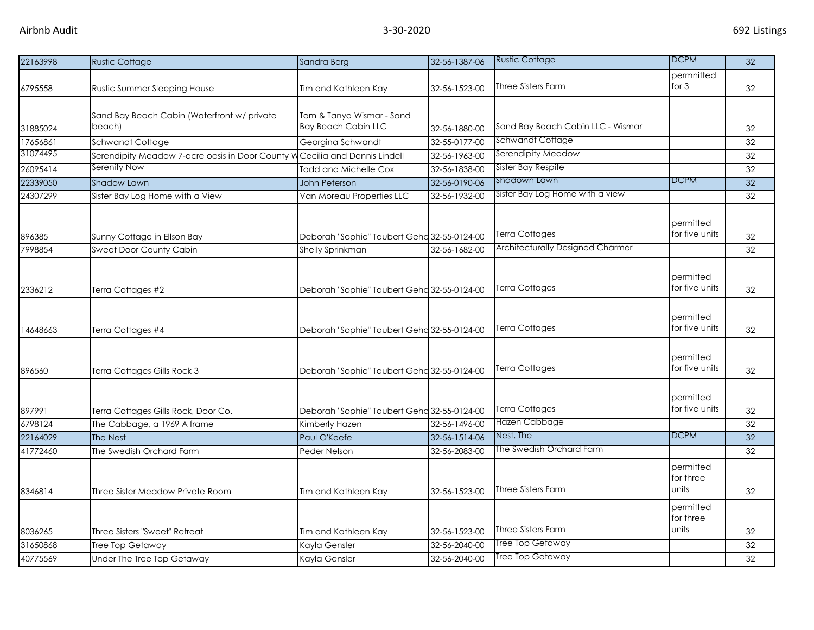| 22163998 | <b>Rustic Cottage</b>                                 | Sandra Berg                                             | 32-56-1387-06 | <b>Rustic Cottage</b>                  | <b>DCPM</b>                     | 32              |
|----------|-------------------------------------------------------|---------------------------------------------------------|---------------|----------------------------------------|---------------------------------|-----------------|
| 6795558  | Rustic Summer Sleeping House                          | Tim and Kathleen Kay                                    | 32-56-1523-00 | <b>Three Sisters Farm</b>              | permnitted<br>for $3$           | 32              |
| 31885024 | Sand Bay Beach Cabin (Waterfront w/ private<br>beach) | Tom & Tanya Wismar - Sand<br><b>Bay Beach Cabin LLC</b> | 32-56-1880-00 | Sand Bay Beach Cabin LLC - Wismar      |                                 | 32              |
| 17656861 | Schwandt Cottage                                      | Georgina Schwandt                                       | 32-55-0177-00 | Schwandt Cottage                       |                                 | 32              |
| 31074495 | Serendipity Meadow 7-acre oasis in Door County V      | Cecilia and Dennis Lindell                              | 32-56-1963-00 | Serendipity Meadow                     |                                 | 32              |
| 26095414 | Serenity Now                                          | <b>Todd and Michelle Cox</b>                            | 32-56-1838-00 | Sister Bay Respite                     |                                 | 32              |
| 22339050 | <b>Shadow Lawn</b>                                    | John Peterson                                           | 32-56-0190-06 | Shadown Lawn                           | <b>DCPM</b>                     | 32              |
| 24307299 | Sister Bay Log Home with a View                       | Van Moreau Properties LLC                               | 32-56-1932-00 | Sister Bay Log Home with a view        |                                 | 32              |
| 896385   | Sunny Cottage in Ellson Bay                           | Deborah "Sophie" Taubert Geha 32-55-0124-00             |               | <b>Terra Cottages</b>                  | permitted<br>for five units     | 32              |
| 7998854  | <b>Sweet Door County Cabin</b>                        | Shelly Sprinkman                                        | 32-56-1682-00 | Architecturally Designed Charmer       |                                 | 32              |
| 2336212  | Terra Cottages #2                                     | Deborah "Sophie" Taubert Geha 32-55-0124-00             |               | <b>Terra Cottages</b>                  | permitted<br>for five units     | 32              |
| 14648663 | Terra Cottages #4                                     | Deborah "Sophie" Taubert Geha 32-55-0124-00             |               | Terra Cottages                         | permitted<br>for five units     | 32              |
| 896560   | Terra Cottages Gills Rock 3                           | Deborah "Sophie" Taubert Geha 32-55-0124-00             |               | <b>Terra Cottages</b>                  | permitted<br>for five units     | 32              |
| 897991   | Terra Cottages Gills Rock, Door Co.                   | Deborah "Sophie" Taubert Geha 32-55-0124-00             |               | <b>Terra Cottages</b><br>Hazen Cabbage | permitted<br>for five units     | 32              |
| 6798124  | The Cabbage, a 1969 A frame                           | Kimberly Hazen                                          | 32-56-1496-00 | Nest, The                              | <b>DCPM</b>                     | 32              |
| 22164029 | The Nest                                              | Paul O'Keefe                                            | 32-56-1514-06 | The Swedish Orchard Farm               |                                 | 32              |
| 41772460 | The Swedish Orchard Farm                              | Peder Nelson                                            | 32-56-2083-00 |                                        |                                 | 32              |
| 8346814  | Three Sister Meadow Private Room                      | Tim and Kathleen Kay                                    | 32-56-1523-00 | <b>Three Sisters Farm</b>              | permitted<br>for three<br>units | 32              |
| 8036265  | Three Sisters "Sweet" Retreat                         | Tim and Kathleen Kay                                    | 32-56-1523-00 | <b>Three Sisters Farm</b>              | permitted<br>for three<br>units | 32              |
| 31650868 | Tree Top Getaway                                      | Kayla Gensler                                           | 32-56-2040-00 | <b>Tree Top Getaway</b>                |                                 | 32              |
| 40775569 | Under The Tree Top Getaway                            | Kayla Gensler                                           | 32-56-2040-00 | <b>Tree Top Getaway</b>                |                                 | $\overline{32}$ |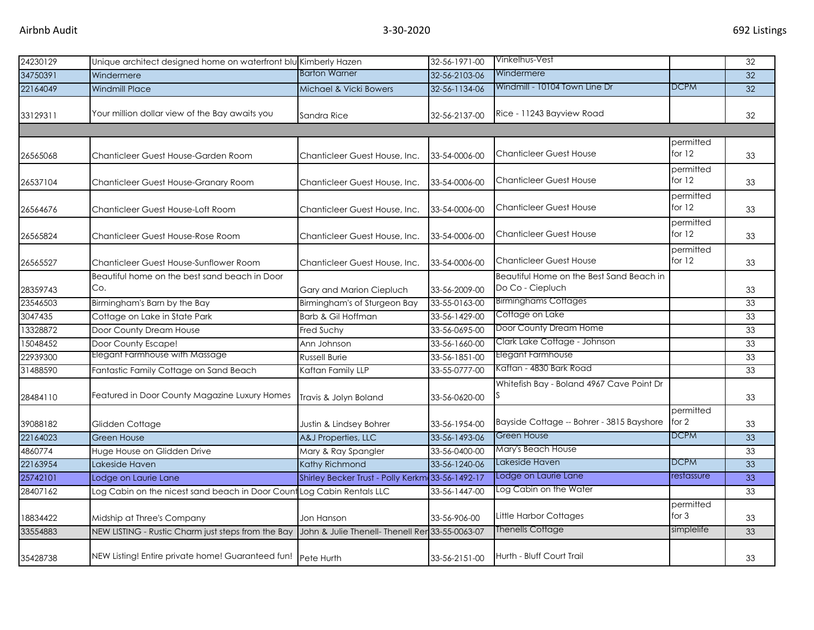| 24230129 | Unique architect designed home on waterfront blu Kimberly Hazen        |                                                  | 32-56-1971-00 | Vinkelhus-Vest                                               |                       | 32 |
|----------|------------------------------------------------------------------------|--------------------------------------------------|---------------|--------------------------------------------------------------|-----------------------|----|
| 34750391 | Windermere                                                             | <b>Barton Warner</b>                             | 32-56-2103-06 | Windermere                                                   |                       | 32 |
| 22164049 | <b>Windmill Place</b>                                                  | Michael & Vicki Bowers                           | 32-56-1134-06 | Windmill - 10104 Town Line Dr                                | <b>DCPM</b>           | 32 |
| 33129311 | Your million dollar view of the Bay awaits you                         | Sandra Rice                                      | 32-56-2137-00 | Rice - 11243 Bayview Road                                    |                       | 32 |
|          |                                                                        |                                                  |               |                                                              |                       |    |
| 26565068 | Chanticleer Guest House-Garden Room                                    | Chanticleer Guest House, Inc.                    | 33-54-0006-00 | <b>Chanticleer Guest House</b>                               | permitted<br>for $12$ | 33 |
| 26537104 | Chanticleer Guest House-Granary Room                                   | Chanticleer Guest House, Inc.                    | 33-54-0006-00 | <b>Chanticleer Guest House</b>                               | permitted<br>for $12$ | 33 |
| 26564676 | Chanticleer Guest House-Loft Room                                      | Chanticleer Guest House, Inc.                    | 33-54-0006-00 | <b>Chanticleer Guest House</b>                               | permitted<br>for $12$ | 33 |
| 26565824 | Chanticleer Guest House-Rose Room                                      | Chanticleer Guest House, Inc.                    | 33-54-0006-00 | <b>Chanticleer Guest House</b>                               | permitted<br>for $12$ | 33 |
| 26565527 | Chanticleer Guest House-Sunflower Room                                 | Chanticleer Guest House, Inc.                    | 33-54-0006-00 | <b>Chanticleer Guest House</b>                               | permitted<br>for $12$ | 33 |
| 28359743 | Beautiful home on the best sand beach in Door<br>Co.                   | Gary and Marion Ciepluch                         | 33-56-2009-00 | Beautiful Home on the Best Sand Beach in<br>Do Co - Ciepluch |                       | 33 |
| 23546503 | Birmingham's Barn by the Bay                                           | Birmingham's of Sturgeon Bay                     | 33-55-0163-00 | <b>Birminghams Cottages</b>                                  |                       | 33 |
| 3047435  | Cottage on Lake in State Park                                          | Barb & Gil Hoffman                               | 33-56-1429-00 | Cottage on Lake                                              |                       | 33 |
| 13328872 | Door County Dream House                                                | Fred Suchy                                       | 33-56-0695-00 | Door County Dream Home                                       |                       | 33 |
| 15048452 | Door County Escape!                                                    | Ann Johnson                                      | 33-56-1660-00 | Clark Lake Cottage - Johnson                                 |                       | 33 |
| 22939300 | Elegant Farmhouse with Massage                                         | Russell Burie                                    | 33-56-1851-00 | <b>Elegant Farmhouse</b>                                     |                       | 33 |
| 31488590 | Fantastic Family Cottage on Sand Beach                                 | Kaftan Family LLP                                | 33-55-0777-00 | Kaftan - 4830 Bark Road                                      |                       | 33 |
| 28484110 | Featured in Door County Magazine Luxury Homes                          | Travis & Jolyn Boland                            | 33-56-0620-00 | Whitefish Bay - Boland 4967 Cave Point Dr                    |                       | 33 |
| 39088182 | Glidden Cottage                                                        | Justin & Lindsey Bohrer                          | 33-56-1954-00 | Bayside Cottage -- Bohrer - 3815 Bayshore                    | permitted<br>for 2    | 33 |
| 22164023 | Green House                                                            | A&J Properties, LLC                              | 33-56-1493-06 | <b>Green House</b>                                           | <b>DCPM</b>           | 33 |
| 4860774  | Huge House on Glidden Drive                                            | Mary & Ray Spangler                              | 33-56-0400-00 | Mary's Beach House                                           |                       | 33 |
| 22163954 | Lakeside Haven                                                         | Kathy Richmond                                   | 33-56-1240-06 | Lakeside Haven                                               | <b>DCPM</b>           | 33 |
| 25742101 | Lodge on Laurie Lane                                                   | Shirley Becker Trust - Polly Kerkm 33-56-1492-17 |               | Lodge on Laurie Lane                                         | restassure            | 33 |
| 28407162 | Log Cabin on the nicest sand beach in Door Count Log Cabin Rentals LLC |                                                  | 33-56-1447-00 | Log Cabin on the Water                                       |                       | 33 |
| 18834422 | Midship at Three's Company                                             | Jon Hanson                                       | 33-56-906-00  | Little Harbor Cottages                                       | permitted<br>for $3$  | 33 |
| 33554883 | NEW LISTING - Rustic Charm just steps from the Bay                     | John & Julie Thenell- Thenell Rer 33-55-0063-07  |               | <b>Thenells Cottage</b>                                      | simplelife            | 33 |
| 35428738 | NEW Listing! Entire private home! Guaranteed fun! Pete Hurth           |                                                  | 33-56-2151-00 | Hurth - Bluff Court Trail                                    |                       | 33 |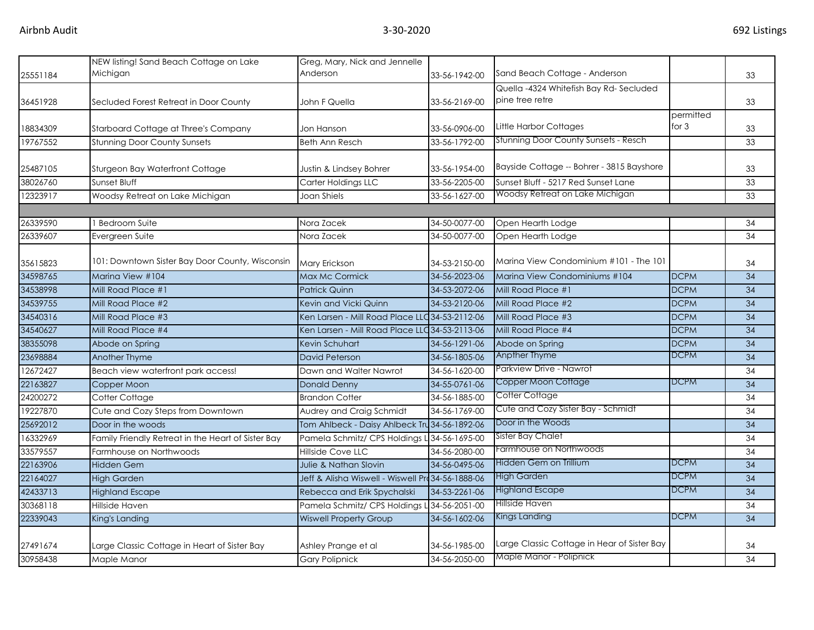|          | NEW listing! Sand Beach Cottage on Lake<br>Michigan | Greg, Mary, Nick and Jennelle<br>Anderson         |               | Sand Beach Cottage - Anderson                             |                      |                 |
|----------|-----------------------------------------------------|---------------------------------------------------|---------------|-----------------------------------------------------------|----------------------|-----------------|
| 25551184 |                                                     |                                                   | 33-56-1942-00 |                                                           |                      | 33              |
| 36451928 | Secluded Forest Retreat in Door County              | John F Quella                                     | 33-56-2169-00 | Quella -4324 Whitefish Bay Rd-Secluded<br>pine tree retre |                      | 33              |
| 18834309 | Starboard Cottage at Three's Company                | Jon Hanson                                        | 33-56-0906-00 | Little Harbor Cottages                                    | permitted<br>for $3$ | 33              |
| 19767552 | <b>Stunning Door County Sunsets</b>                 | <b>Beth Ann Resch</b>                             | 33-56-1792-00 | Stunning Door County Sunsets - Resch                      |                      | 33              |
| 25487105 | Sturgeon Bay Waterfront Cottage                     | Justin & Lindsey Bohrer                           | 33-56-1954-00 | Bayside Cottage -- Bohrer - 3815 Bayshore                 |                      | 33              |
| 38026760 | Sunset Bluff                                        | Carter Holdings LLC                               | 33-56-2205-00 | Sunset Bluff - 5217 Red Sunset Lane                       |                      | 33              |
| 12323917 | Woodsy Retreat on Lake Michigan                     | Joan Shiels                                       | 33-56-1627-00 | Woodsy Retreat on Lake Michigan                           |                      | 33              |
|          |                                                     |                                                   |               |                                                           |                      |                 |
| 26339590 | <b>Bedroom Suite</b>                                | Nora Zacek                                        | 34-50-0077-00 | Open Hearth Lodge                                         |                      | 34              |
| 26339607 | Evergreen Suite                                     | Nora Zacek                                        | 34-50-0077-00 | Open Hearth Lodge                                         |                      | 34              |
| 35615823 | 101: Downtown Sister Bay Door County, Wisconsin     | Mary Erickson                                     | 34-53-2150-00 | Marina View Condominium #101 - The 101                    |                      | 34              |
| 34598765 | Marina View #104                                    | Max Mc Cormick                                    | 34-56-2023-06 | Marina View Condominiums #104                             | <b>DCPM</b>          | 34              |
| 34538998 | Mill Road Place #1                                  | <b>Patrick Quinn</b>                              | 34-53-2072-06 | Mill Road Place #1                                        | <b>DCPM</b>          | 34              |
| 34539755 | Mill Road Place #2                                  | Kevin and Vicki Quinn                             | 34-53-2120-06 | Mill Road Place #2                                        | <b>DCPM</b>          | 34              |
| 34540316 | Mill Road Place #3                                  | Ken Larsen - Mill Road Place LLC 34-53-21 12-06   |               | Mill Road Place #3                                        | <b>DCPM</b>          | 34              |
| 34540627 | Mill Road Place #4                                  | Ken Larsen - Mill Road Place LLC 34-53-2113-06    |               | Mill Road Place #4                                        | <b>DCPM</b>          | 34              |
| 38355098 | Abode on Spring                                     | Kevin Schuhart                                    | 34-56-1291-06 | Abode on Spring                                           | <b>DCPM</b>          | 34              |
| 23698884 | Another Thyme                                       | David Peterson                                    | 34-56-1805-06 | Anpther Thyme                                             | <b>DCPM</b>          | 34              |
| 12672427 | Beach view waterfront park access!                  | Dawn and Walter Nawrot                            | 34-56-1620-00 | Parkview Drive - Nawrot                                   |                      | 34              |
| 22163827 | Copper Moon                                         | <b>Donald Denny</b>                               | 34-55-0761-06 | Copper Moon Cottage                                       | <b>DCPM</b>          | 34              |
| 24200272 | Cotter Cottage                                      | <b>Brandon Cotter</b>                             | 34-56-1885-00 | Cotter Cottage                                            |                      | 34              |
| 19227870 | Cute and Cozy Steps from Downtown                   | Audrey and Craig Schmidt                          | 34-56-1769-00 | Cute and Cozy Sister Bay - Schmidt                        |                      | 34              |
| 25692012 | Door in the woods                                   | Tom Ahlbeck - Daisy Ahlbeck Tru 34-56-1892-06     |               | Door in the Woods                                         |                      | 34              |
| 16332969 | Family Friendly Retreat in the Heart of Sister Bay  | Pamela Schmitz/ CPS Holdings L 34-56-1695-00      |               | Sister Bay Chalet                                         |                      | 34              |
| 33579557 | Farmhouse on Northwoods                             | Hillside Cove LLC                                 | 34-56-2080-00 | Farmhouse on Northwoods                                   |                      | 34              |
| 22163906 | <b>Hidden Gem</b>                                   | Julie & Nathan Slovin                             | 34-56-0495-06 | Hidden Gem on Trillium                                    | <b>DCPM</b>          | $\overline{34}$ |
| 22164027 | <b>High Garden</b>                                  | Jeff & Alisha Wiswell - Wiswell Pro 34-56-1888-06 |               | High Garden                                               | <b>DCPM</b>          | 34              |
| 42433713 | <b>Highland Escape</b>                              | Rebecca and Erik Spychalski                       | 34-53-2261-06 | <b>Highland Escape</b>                                    | <b>DCPM</b>          | 34              |
| 30368118 | Hillside Haven                                      | Pamela Schmitz/ CPS Holdings L 34-56-2051-00      |               | Hillside Haven                                            |                      | 34              |
| 22339043 | King's Landing                                      | <b>Wiswell Property Group</b>                     | 34-56-1602-06 | Kings Landing                                             | <b>DCPM</b>          | $\overline{34}$ |
| 27491674 | Large Classic Cottage in Heart of Sister Bay        | Ashley Prange et al                               | 34-56-1985-00 | Large Classic Cottage in Hear of Sister Bay               |                      | 34              |
| 30958438 | Maple Manor                                         | <b>Gary Polipnick</b>                             | 34-56-2050-00 | Maple Manor - Polipnick                                   |                      | 34              |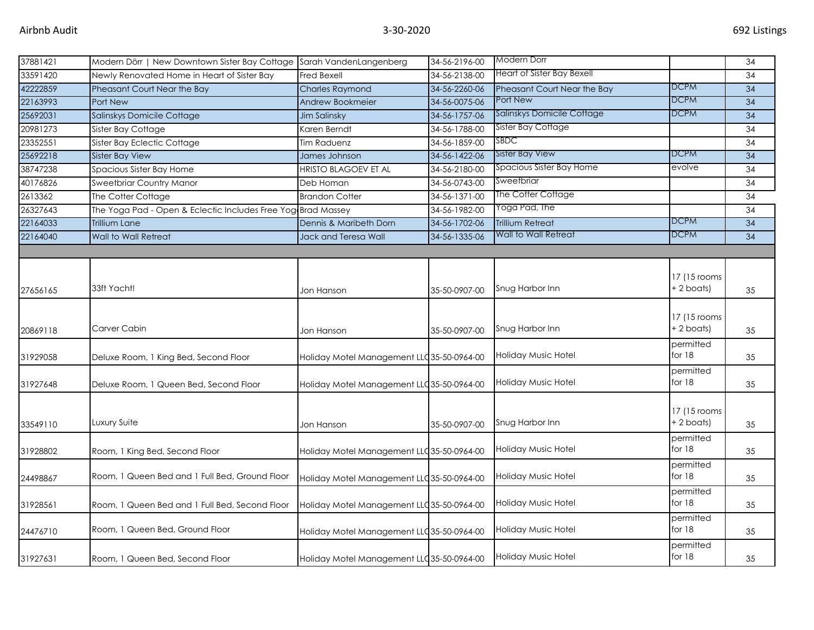| 37881421 | Modern Dörr   New Downtown Sister Bay Cottage Sarah VandenLangenberg |                                            | 34-56-2196-00 | Modern Dorr                 |               | 34 |
|----------|----------------------------------------------------------------------|--------------------------------------------|---------------|-----------------------------|---------------|----|
| 33591420 | Newly Renovated Home in Heart of Sister Bay                          | Fred Bexell                                | 34-56-2138-00 | Heart of Sister Bay Bexell  |               | 34 |
| 42222859 | Pheasant Court Near the Bay                                          | <b>Charles Raymond</b>                     | 34-56-2260-06 | Pheasant Court Near the Bay | <b>DCPM</b>   | 34 |
| 22163993 | Port New                                                             | Andrew Bookmeier                           | 34-56-0075-06 | Port New                    | <b>DCPM</b>   | 34 |
| 25692031 | Salinskys Domicile Cottage                                           | <b>Jim Salinsky</b>                        | 34-56-1757-06 | Salinskys Domicile Cottage  | <b>DCPM</b>   | 34 |
| 20981273 | Sister Bay Cottage                                                   | Karen Berndt                               | 34-56-1788-00 | Sister Bay Cottage          |               | 34 |
| 23352551 | Sister Bay Eclectic Cottage                                          | <b>Tim Raduenz</b>                         | 34-56-1859-00 | SBDC                        |               | 34 |
| 25692218 | Sister Bay View                                                      | James Johnson                              | 34-56-1422-06 | <b>Sister Bay View</b>      | <b>DCPM</b>   | 34 |
| 38747238 | Spacious Sister Bay Home                                             | <b>HRISTO BLAGOEV ET AL</b>                | 34-56-2180-00 | Spacious Sister Bay Home    | evolve        | 34 |
| 40176826 | Sweetbriar Country Manor                                             | Deb Homan                                  | 34-56-0743-00 | Sweetbriar                  |               | 34 |
| 2613362  | The Cotter Cottage                                                   | <b>Brandon Cotter</b>                      | 34-56-1371-00 | The Cotter Cottage          |               | 34 |
| 26327643 | The Yoga Pad - Open & Eclectic Includes Free Yog Brad Massey         |                                            | 34-56-1982-00 | Yoga Pad, The               |               | 34 |
| 22164033 | <b>Trillium Lane</b>                                                 | Dennis & Maribeth Dorn                     | 34-56-1702-06 | <b>Trillium Retreat</b>     | <b>DCPM</b>   | 34 |
| 22164040 | Wall to Wall Retreat                                                 | Jack and Teresa Wall                       | 34-56-1335-06 | Wall to Wall Retreat        | <b>DCPM</b>   | 34 |
|          |                                                                      |                                            |               |                             |               |    |
|          |                                                                      |                                            |               |                             |               |    |
|          |                                                                      |                                            |               |                             | 17 (15 rooms) |    |
| 27656165 | 33ft Yacht!                                                          | Jon Hanson                                 | 35-50-0907-00 | Snug Harbor Inn             | $+ 2$ boats)  | 35 |
|          |                                                                      |                                            |               |                             |               |    |
|          |                                                                      |                                            |               |                             | 17 (15 rooms) |    |
| 20869118 | Carver Cabin                                                         | Jon Hanson                                 | 35-50-0907-00 | Snug Harbor Inn             | + 2 boats)    | 35 |
|          |                                                                      |                                            |               |                             | permitted     |    |
| 31929058 | Deluxe Room, 1 King Bed, Second Floor                                | Holiday Motel Management LLC 35-50-0964-00 |               | Holiday Music Hotel         | for 18        | 35 |
|          |                                                                      |                                            |               |                             | permitted     |    |
| 31927648 | Deluxe Room, 1 Queen Bed, Second Floor                               | Holiday Motel Management LLC 35-50-0964-00 |               | Holiday Music Hotel         | for 18        | 35 |
|          |                                                                      |                                            |               |                             |               |    |
|          |                                                                      |                                            |               |                             | 17 (15 rooms) |    |
| 33549110 | Luxury Suite                                                         | Jon Hanson                                 | 35-50-0907-00 | Snug Harbor Inn             | + 2 boats)    | 35 |
|          |                                                                      |                                            |               |                             | permitted     |    |
| 31928802 | Room, 1 King Bed, Second Floor                                       | Holiday Motel Management LLC35-50-0964-00  |               | Holiday Music Hotel         | for 18        | 35 |
|          |                                                                      |                                            |               |                             | permitted     |    |
| 24498867 | Room, 1 Queen Bed and 1 Full Bed, Ground Floor                       | Holiday Motel Management LLC 35-50-0964-00 |               | Holiday Music Hotel         | for 18        | 35 |
|          |                                                                      |                                            |               |                             | permitted     |    |
| 31928561 | Room, 1 Queen Bed and 1 Full Bed, Second Floor                       | Holiday Motel Management LLC 35-50-0964-00 |               | <b>Holiday Music Hotel</b>  | for $18$      | 35 |
|          |                                                                      |                                            |               |                             | permitted     |    |
| 24476710 | Room, 1 Queen Bed, Ground Floor                                      | Holiday Motel Management LLC 35-50-0964-00 |               | Holiday Music Hotel         | for 18        | 35 |
|          |                                                                      |                                            |               |                             | permitted     |    |
| 31927631 | Room, 1 Queen Bed, Second Floor                                      | Holiday Motel Management LLC 35-50-0964-00 |               | Holiday Music Hotel         | for 18        | 35 |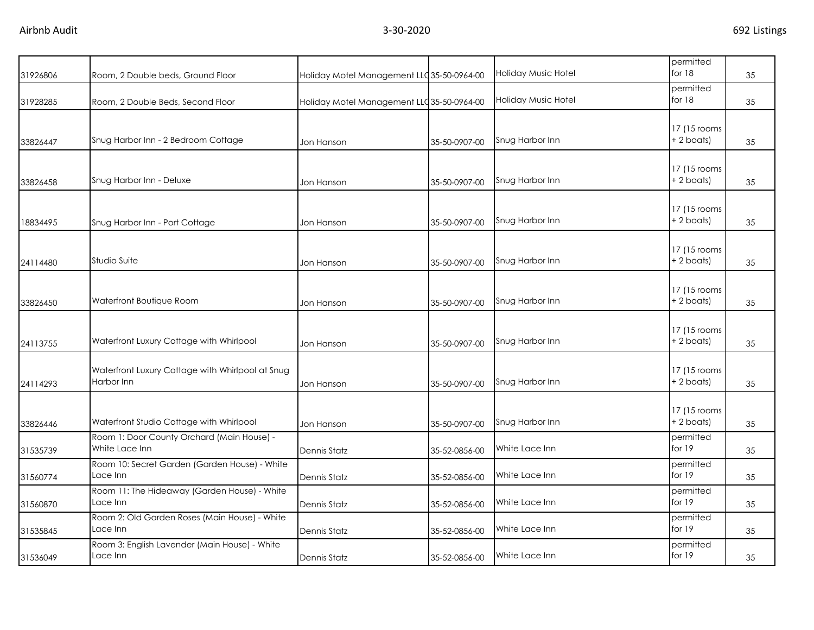| 31926806 | Room, 2 Double beds, Ground Floor                              | Holiday Motel Management LLC 35-50-0964-00 |               | <b>Holiday Music Hotel</b> | permitted<br>for 18           | 35 |
|----------|----------------------------------------------------------------|--------------------------------------------|---------------|----------------------------|-------------------------------|----|
| 31928285 | Room, 2 Double Beds, Second Floor                              | Holiday Motel Management LLC 35-50-0964-00 |               | Holiday Music Hotel        | permitted<br>for $18$         | 35 |
| 33826447 | Snug Harbor Inn - 2 Bedroom Cottage                            | Jon Hanson                                 | 35-50-0907-00 | Snug Harbor Inn            | 17 (15 rooms)<br>$+ 2$ boats) | 35 |
| 33826458 | Snug Harbor Inn - Deluxe                                       | Jon Hanson                                 | 35-50-0907-00 | Snug Harbor Inn            | 17 (15 rooms)<br>+2 boats)    | 35 |
| 18834495 | Snug Harbor Inn - Port Cottage                                 | Jon Hanson                                 | 35-50-0907-00 | Snug Harbor Inn            | 17 (15 rooms<br>$+ 2$ boats)  | 35 |
| 24114480 | Studio Suite                                                   | Jon Hanson                                 | 35-50-0907-00 | Snug Harbor Inn            | 17 (15 rooms)<br>$+ 2$ boats) | 35 |
| 33826450 | Waterfront Boutique Room                                       | Jon Hanson                                 | 35-50-0907-00 | Snug Harbor Inn            | 17 (15 rooms)<br>$+2$ boats)  | 35 |
| 24113755 | Waterfront Luxury Cottage with Whirlpool                       | Jon Hanson                                 | 35-50-0907-00 | Snug Harbor Inn            | 17 (15 rooms<br>+ 2 boats)    | 35 |
| 24114293 | Waterfront Luxury Cottage with Whirlpool at Snug<br>Harbor Inn | Jon Hanson                                 | 35-50-0907-00 | Snug Harbor Inn            | 17 (15 rooms<br>$+ 2$ boats)  | 35 |
| 33826446 | Waterfront Studio Cottage with Whirlpool                       | Jon Hanson                                 | 35-50-0907-00 | Snug Harbor Inn            | 17 (15 rooms)<br>$+ 2$ boats) | 35 |
| 31535739 | Room 1: Door County Orchard (Main House) -<br>White Lace Inn   | Dennis Statz                               | 35-52-0856-00 | White Lace Inn             | permitted<br>for $19$         | 35 |
| 31560774 | Room 10: Secret Garden (Garden House) - White<br>Lace Inn      | Dennis Statz                               | 35-52-0856-00 | White Lace Inn             | permitted<br>for 19           | 35 |
| 31560870 | Room 11: The Hideaway (Garden House) - White<br>Lace Inn       | <b>Dennis Statz</b>                        | 35-52-0856-00 | White Lace Inn             | permitted<br>for 19           | 35 |
| 31535845 | Room 2: Old Garden Roses (Main House) - White<br>Lace Inn      | <b>Dennis Statz</b>                        | 35-52-0856-00 | White Lace Inn             | permitted<br>for 19           | 35 |
| 31536049 | Room 3: English Lavender (Main House) - White<br>Lace Inn      | Dennis Statz                               | 35-52-0856-00 | White Lace Inn             | permitted<br>for 19           | 35 |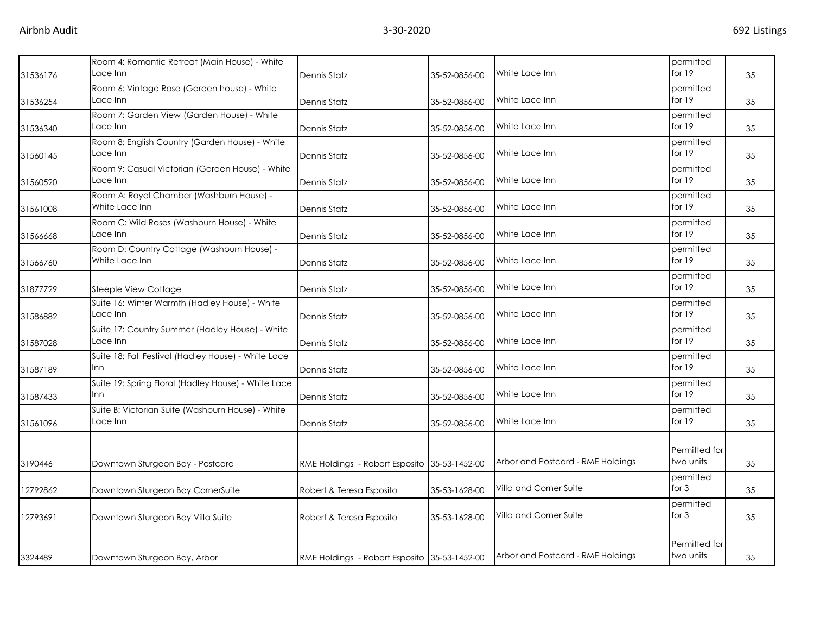| 31536176 | Room 4: Romantic Retreat (Main House) - White<br>Lace Inn         | Dennis Statz                                 | 35-52-0856-00 | White Lace Inn                    | permitted<br>for $19$      | 35 |
|----------|-------------------------------------------------------------------|----------------------------------------------|---------------|-----------------------------------|----------------------------|----|
| 31536254 | Room 6: Vintage Rose (Garden house) - White<br>Lace Inn           | Dennis Statz                                 | 35-52-0856-00 | White Lace Inn                    | permitted<br>for $19$      | 35 |
| 31536340 | Room 7: Garden View (Garden House) - White<br>Lace Inn            | Dennis Statz                                 | 35-52-0856-00 | White Lace Inn                    | permitted<br>for $19$      | 35 |
| 31560145 | Room 8: English Country (Garden House) - White<br>Lace Inn        | Dennis Statz                                 | 35-52-0856-00 | White Lace Inn                    | permitted<br>for $19$      | 35 |
| 31560520 | Room 9: Casual Victorian (Garden House) - White<br>Lace Inn       | Dennis Statz                                 | 35-52-0856-00 | White Lace Inn                    | permitted<br>for $19$      | 35 |
| 31561008 | Room A: Royal Chamber (Washburn House) -<br>White Lace Inn        | Dennis Statz                                 | 35-52-0856-00 | White Lace Inn                    | permitted<br>for $19$      | 35 |
| 31566668 | Room C: Wild Roses (Washburn House) - White<br>Lace Inn           | Dennis Statz                                 | 35-52-0856-00 | White Lace Inn                    | permitted<br>for $19$      | 35 |
| 31566760 | Room D: Country Cottage (Washburn House) -<br>White Lace Inn      | Dennis Statz                                 | 35-52-0856-00 | White Lace Inn                    | permitted<br>for $19$      | 35 |
| 31877729 | <b>Steeple View Cottage</b>                                       | Dennis Statz                                 | 35-52-0856-00 | White Lace Inn                    | permitted<br>for $19$      | 35 |
| 31586882 | Suite 16: Winter Warmth (Hadley House) - White<br>Lace Inn        | Dennis Statz                                 | 35-52-0856-00 | White Lace Inn                    | permitted<br>for $19$      | 35 |
| 31587028 | Suite 17: Country Summer (Hadley House) - White<br>Lace Inn       | Dennis Statz                                 | 35-52-0856-00 | White Lace Inn                    | permitted<br>for $19$      | 35 |
| 31587189 | Suite 18: Fall Festival (Hadley House) - White Lace<br>Inn        | Dennis Statz                                 | 35-52-0856-00 | White Lace Inn                    | permitted<br>for $19$      | 35 |
| 31587433 | Suite 19: Spring Floral (Hadley House) - White Lace<br><b>Inn</b> | Dennis Statz                                 | 35-52-0856-00 | White Lace Inn                    | permitted<br>for $19$      | 35 |
| 31561096 | Suite B: Victorian Suite (Washburn House) - White<br>Lace Inn     | Dennis Statz                                 | 35-52-0856-00 | White Lace Inn                    | permitted<br>for 19        | 35 |
| 3190446  | Downtown Sturgeon Bay - Postcard                                  | RME Holdings - Robert Esposito 35-53-1452-00 |               | Arbor and Postcard - RME Holdings | Permitted for<br>two units | 35 |
| 12792862 | Downtown Sturgeon Bay CornerSuite                                 | Robert & Teresa Esposito                     | 35-53-1628-00 | Villa and Corner Suite            | permitted<br>for 3         | 35 |
| 12793691 | Downtown Sturgeon Bay Villa Suite                                 | Robert & Teresa Esposito                     | 35-53-1628-00 | Villa and Corner Suite            | permitted<br>for $3$       | 35 |
| 3324489  | Downtown Sturgeon Bay, Arbor                                      | RME Holdings - Robert Esposito 35-53-1452-00 |               | Arbor and Postcard - RME Holdings | Permitted for<br>two units | 35 |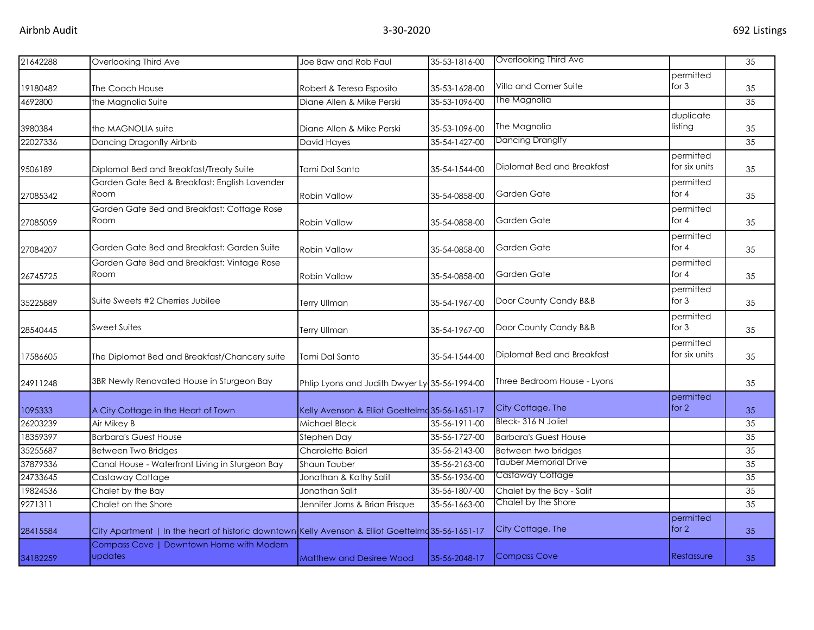| 21642288 | Overlooking Third Ave                                                                             | Joe Baw and Rob Paul                           | 35-53-1816-00 | Overlooking Third Ave        |                            | 35 |
|----------|---------------------------------------------------------------------------------------------------|------------------------------------------------|---------------|------------------------------|----------------------------|----|
|          |                                                                                                   |                                                |               | Villa and Corner Suite       | permitted<br>for $3$       |    |
| 19180482 | The Coach House                                                                                   | Robert & Teresa Esposito                       | 35-53-1628-00 | The Magnolia                 |                            | 35 |
| 4692800  | the Magnolia Suite                                                                                | Diane Allen & Mike Perski                      | 35-53-1096-00 |                              |                            | 35 |
| 3980384  | the MAGNOLIA suite                                                                                | Diane Allen & Mike Perski                      | 35-53-1096-00 | The Magnolia                 | duplicate<br>listing       | 35 |
| 22027336 | Dancing Dragonfly Airbnb                                                                          | David Hayes                                    | 35-54-1427-00 | Dancing Dranglfy             |                            | 35 |
| 9506189  | Diplomat Bed and Breakfast/Treaty Suite                                                           | Tami Dal Santo                                 | 35-54-1544-00 | Diplomat Bed and Breakfast   | permitted<br>for six units | 35 |
| 27085342 | Garden Gate Bed & Breakfast: English Lavender<br>Room                                             | Robin Vallow                                   | 35-54-0858-00 | Garden Gate                  | permitted<br>for $4$       | 35 |
| 27085059 | Garden Gate Bed and Breakfast: Cottage Rose<br>Room                                               | <b>Robin Vallow</b>                            | 35-54-0858-00 | Garden Gate                  | permitted<br>for $4$       | 35 |
| 27084207 | Garden Gate Bed and Breakfast: Garden Suite                                                       | <b>Robin Vallow</b>                            | 35-54-0858-00 | Garden Gate                  | permitted<br>for $4$       | 35 |
| 26745725 | Garden Gate Bed and Breakfast: Vintage Rose<br>Room                                               | Robin Vallow                                   | 35-54-0858-00 | Garden Gate                  | permitted<br>for $4$       | 35 |
| 35225889 | Suite Sweets #2 Cherries Jubilee                                                                  | Terry Ullman                                   | 35-54-1967-00 | Door County Candy B&B        | permitted<br>for $3$       | 35 |
| 28540445 | Sweet Suites                                                                                      | <b>Terry Ullman</b>                            | 35-54-1967-00 | Door County Candy B&B        | permitted<br>for $3$       | 35 |
| 17586605 | The Diplomat Bed and Breakfast/Chancery suite                                                     | Tami Dal Santo                                 | 35-54-1544-00 | Diplomat Bed and Breakfast   | permitted<br>for six units | 35 |
| 24911248 | 3BR Newly Renovated House in Sturgeon Bay                                                         | Phlip Lyons and Judith Dwyer Ly 35-56-1994-00  |               | Three Bedroom House - Lyons  |                            | 35 |
| 1095333  | A City Cottage in the Heart of Town                                                               | Kelly Avenson & Elliot Goettelmd 35-56-1651-17 |               | City Cottage, The            | permitted<br>for $2$       | 35 |
| 26203239 | Air Mikey B                                                                                       | Michael Bleck                                  | 35-56-1911-00 | Bleck-316 N Joliet           |                            | 35 |
| 18359397 | <b>Barbara's Guest House</b>                                                                      | Stephen Day                                    | 35-56-1727-00 | <b>Barbara's Guest House</b> |                            | 35 |
| 35255687 | <b>Between Two Bridges</b>                                                                        | Charolette Baierl                              | 35-56-2143-00 | Between two bridges          |                            | 35 |
| 37879336 | Canal House - Waterfront Living in Sturgeon Bay                                                   | Shaun Tauber                                   | 35-56-2163-00 | Tauber Memorial Drive        |                            | 35 |
| 24733645 | Castaway Cottage                                                                                  | Jonathan & Kathy Salit                         | 35-56-1936-00 | Castaway Cottage             |                            | 35 |
| 19824536 | Chalet by the Bay                                                                                 | Jonathan Salit                                 | 35-56-1807-00 | Chalet by the Bay - Salit    |                            | 35 |
| 9271311  | Chalet on the Shore                                                                               | Jennifer Jorns & Brian Frisque                 | 35-56-1663-00 | Chalet by the Shore          |                            | 35 |
| 28415584 | City Apartment   In the heart of historic downtown Kelly Avenson & Elliot Goettelmd 35-56-1651-17 |                                                |               | City Cottage, The            | permitted<br>for $2$       | 35 |
| 34182259 | Compass Cove   Downtown Home with Modern<br>updates                                               | <b>Matthew and Desiree Wood</b>                | 35-56-2048-17 | <b>Compass Cove</b>          | Restassure                 | 35 |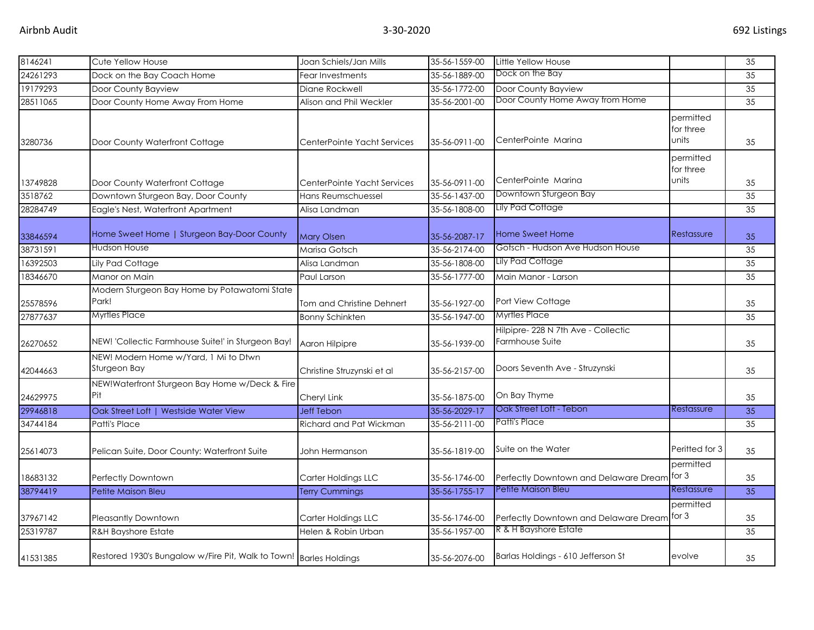| 8146241  | Cute Yellow House                                                  | Joan Schiels/Jan Mills      | 35-56-1559-00 | Little Yellow House                                    |                                 | 35 |
|----------|--------------------------------------------------------------------|-----------------------------|---------------|--------------------------------------------------------|---------------------------------|----|
| 24261293 | Dock on the Bay Coach Home                                         | Fear Investments            | 35-56-1889-00 | Dock on the Bay                                        |                                 | 35 |
| 19179293 | Door County Bayview                                                | Diane Rockwell              | 35-56-1772-00 | Door County Bayview                                    |                                 | 35 |
| 28511065 | Door County Home Away From Home                                    | Alison and Phil Weckler     | 35-56-2001-00 | Door County Home Away from Home                        |                                 | 35 |
| 3280736  | Door County Waterfront Cottage                                     | CenterPointe Yacht Services | 35-56-0911-00 | CenterPointe Marina                                    | permitted<br>for three<br>units | 35 |
| 13749828 | Door County Waterfront Cottage                                     | CenterPointe Yacht Services | 35-56-0911-00 | CenterPointe Marina                                    | permitted<br>for three<br>units | 35 |
| 3518762  | Downtown Sturgeon Bay, Door County                                 | Hans Reumschuessel          | 35-56-1437-00 | Downtown Sturgeon Bay                                  |                                 | 35 |
| 28284749 | Eagle's Nest, Waterfront Apartment                                 | Alisa Landman               | 35-56-1808-00 | Lily Pad Cottage                                       |                                 | 35 |
| 33846594 | Home Sweet Home   Sturgeon Bay-Door County                         | <b>Mary Olsen</b>           | 35-56-2087-17 | Home Sweet Home                                        | Restassure                      | 35 |
| 38731591 | Hudson House                                                       | Marisa Gotsch               | 35-56-2174-00 | Gotsch - Hudson Ave Hudson House                       |                                 | 35 |
| 16392503 | Lily Pad Cottage                                                   | Alisa Landman               | 35-56-1808-00 | Lily Pad Cottage                                       |                                 | 35 |
| 18346670 | Manor on Main                                                      | Paul Larson                 | 35-56-1777-00 | Main Manor - Larson                                    |                                 | 35 |
| 25578596 | Modern Sturgeon Bay Home by Potawatomi State<br>Park!              | Tom and Christine Dehnert   | 35-56-1927-00 | Port View Cottage                                      |                                 | 35 |
| 27877637 | Myrtles Place                                                      | <b>Bonny Schinkten</b>      | 35-56-1947-00 | <b>Myrtles Place</b>                                   |                                 | 35 |
| 26270652 | NEW! 'Collectic Farmhouse Suite!' in Sturgeon Bay!                 | Aaron Hilpipre              | 35-56-1939-00 | Hilpipre- 228 N 7th Ave - Collectic<br>Farmhouse Suite |                                 | 35 |
| 42044663 | NEW! Modern Home w/Yard, 1 Mi to Dtwn<br>Sturgeon Bay              | Christine Struzynski et al  | 35-56-2157-00 | Doors Seventh Ave - Struzynski                         |                                 | 35 |
| 24629975 | NEW!Waterfront Sturgeon Bay Home w/Deck & Fire<br>Pit              | Cheryl Link                 | 35-56-1875-00 | On Bay Thyme                                           |                                 | 35 |
| 29946818 | Oak Street Loft   Westside Water View                              | <b>Jeff Tebon</b>           | 35-56-2029-17 | Oak Street Loft - Tebon                                | Restassure                      | 35 |
| 34744184 | Patti's Place                                                      | Richard and Pat Wickman     | 35-56-2111-00 | Patti's Place                                          |                                 | 35 |
| 25614073 | Pelican Suite, Door County: Waterfront Suite                       | John Hermanson              | 35-56-1819-00 | Suite on the Water                                     | Peritted for 3                  | 35 |
| 18683132 | Perfectly Downtown                                                 | Carter Holdings LLC         | 35-56-1746-00 | Perfectly Downtown and Delaware Dream                  | permitted<br>for 3              | 35 |
| 38794419 | Petite Maison Bleu                                                 | <b>Terry Cummings</b>       | 35-56-1755-17 | Petite Maison Bleu                                     | Restassure                      | 35 |
| 37967142 | <b>Pleasantly Downtown</b>                                         | Carter Holdings LLC         | 35-56-1746-00 | Perfectly Downtown and Delaware Dream                  | permitted<br>for 3              | 35 |
| 25319787 | <b>R&amp;H Bayshore Estate</b>                                     | Helen & Robin Urban         | 35-56-1957-00 | R & H Bayshore Estate                                  |                                 | 35 |
| 41531385 | Restored 1930's Bungalow w/Fire Pit, Walk to Town! Barles Holdings |                             | 35-56-2076-00 | Barlas Holdings - 610 Jefferson St                     | evolve                          | 35 |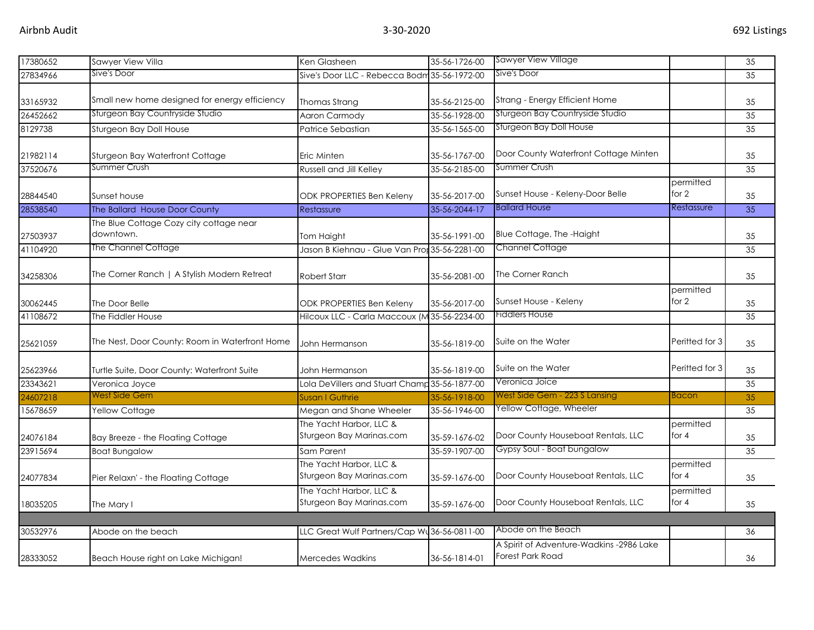| 17380652 | Sawyer View Villa                                    | Ken Glasheen                                        | 35-56-1726-00 | <b>Sawyer View Village</b>                                          |                      | 35              |
|----------|------------------------------------------------------|-----------------------------------------------------|---------------|---------------------------------------------------------------------|----------------------|-----------------|
| 27834966 | Sive's Door                                          | Sive's Door LLC - Rebecca Bodm 35-56-1972-00        |               | Sive's Door                                                         |                      | 35              |
| 33165932 | Small new home designed for energy efficiency        | Thomas Strang                                       | 35-56-2125-00 | Strang - Energy Efficient Home                                      |                      | 35              |
| 26452662 | Sturgeon Bay Countryside Studio                      | Aaron Carmody                                       | 35-56-1928-00 | Sturgeon Bay Countryside Studio                                     |                      | 35              |
| 8129738  | Sturgeon Bay Doll House                              | Patrice Sebastian                                   | 35-56-1565-00 | Sturgeon Bay Doll House                                             |                      | 35              |
| 21982114 | Sturgeon Bay Waterfront Cottage                      | Eric Minten                                         | 35-56-1767-00 | Door County Waterfront Cottage Minten                               |                      | 35              |
| 37520676 | Summer Crush                                         | <b>Russell and Jill Kelley</b>                      | 35-56-2185-00 | Summer Crush                                                        |                      | 35              |
| 28844540 | Sunset house                                         | ODK PROPERTIES Ben Keleny                           | 35-56-2017-00 | permitted<br>for $2$<br>Sunset House - Keleny-Door Belle            |                      | 35              |
| 28538540 | The Ballard House Door County                        | Restassure                                          | 35-56-2044-17 | <b>Ballard House</b>                                                | Restassure           | 35              |
| 27503937 | The Blue Cottage Cozy city cottage near<br>downtown. | Tom Haight                                          | 35-56-1991-00 | Blue Cottage, The -Haight                                           |                      | 35              |
| 41104920 | The Channel Cottage                                  | Jason B Kiehnau - Glue Van Prot 35-56-2281-00       |               | <b>Channel Cottage</b>                                              |                      | 35              |
| 34258306 | The Corner Ranch   A Stylish Modern Retreat          | <b>Robert Starr</b>                                 | 35-56-2081-00 | The Corner Ranch                                                    |                      | 35              |
| 30062445 | The Door Belle                                       | ODK PROPERTIES Ben Keleny                           | 35-56-2017-00 | Sunset House - Keleny                                               | permitted<br>for $2$ | 35              |
| 41108672 | The Fiddler House                                    | Hilcoux LLC - Carla Maccoux (M 35-56-2234-00        |               | <b>Fiddlers House</b>                                               |                      | 35              |
| 25621059 | The Nest, Door County: Room in Waterfront Home       | John Hermanson                                      | 35-56-1819-00 | Suite on the Water                                                  | Peritted for 3       | 35              |
| 25623966 | Turtle Suite, Door County: Waterfront Suite          | John Hermanson                                      | 35-56-1819-00 | Suite on the Water                                                  | Peritted for 3       | 35              |
| 23343621 | Veronica Joyce                                       | Lola DeVillers and Stuart Champ 35-56-1877-00       |               | Veronica Joice                                                      |                      | 35              |
| 24607218 | West Side Gem                                        | Susan I Guthrie                                     | 35-56-1918-00 | West Side Gem - 223 S Lansing                                       | <b>Bacon</b>         | 35 <sub>1</sub> |
| 15678659 | Yellow Cottage                                       | Megan and Shane Wheeler                             | 35-56-1946-00 | Yellow Cottage, Wheeler                                             |                      | 35              |
| 24076184 | Bay Breeze - the Floating Cottage                    | The Yacht Harbor, LLC &<br>Sturgeon Bay Marinas.com | 35-59-1676-02 | Door County Houseboat Rentals, LLC                                  | permitted<br>for $4$ | 35              |
| 23915694 | <b>Boat Bungalow</b>                                 | Sam Parent                                          | 35-59-1907-00 | Gypsy Soul - Boat bungalow                                          |                      | 35              |
| 24077834 | Pier Relaxn' - the Floating Cottage                  | The Yacht Harbor, LLC &<br>Sturgeon Bay Marinas.com | 35-59-1676-00 | Door County Houseboat Rentals, LLC                                  | permitted<br>for $4$ | 35              |
| 18035205 | The Mary I                                           | The Yacht Harbor, LLC &<br>Sturgeon Bay Marinas.com | 35-59-1676-00 | Door County Houseboat Rentals, LLC                                  | permitted<br>for $4$ | 35              |
|          |                                                      |                                                     |               |                                                                     |                      |                 |
| 30532976 | Abode on the beach                                   | LLC Great Wulf Partners/Cap Wu36-56-0811-00         |               | Abode on the Beach                                                  |                      | 36              |
| 28333052 | Beach House right on Lake Michigan!                  | <b>Mercedes Wadkins</b>                             | 36-56-1814-01 | A Spirit of Adventure-Wadkins -2986 Lake<br><b>Forest Park Road</b> |                      | 36              |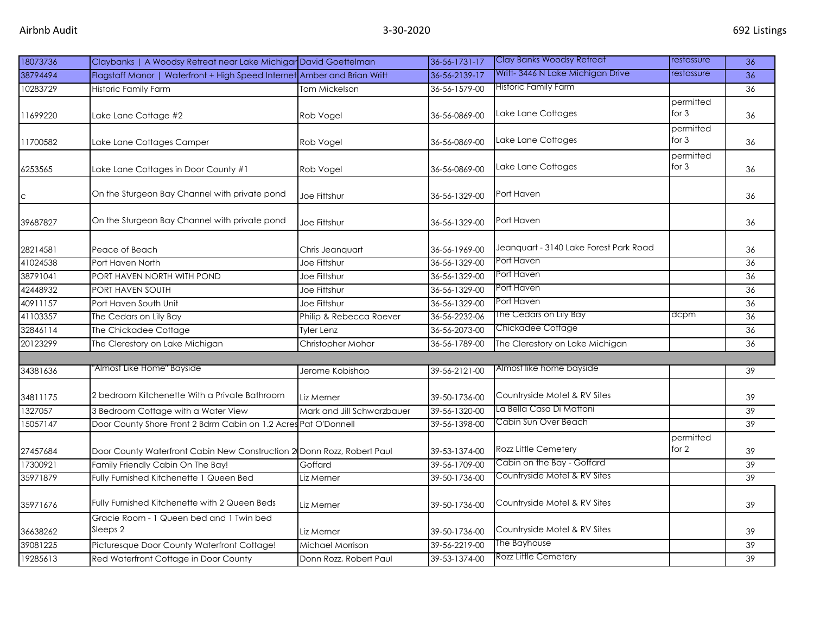| 18073736 | Claybanks   A Woodsy Retreat near Lake Michigar David Goettelman         |                            | 36-56-1731-17 | Clay Banks Woodsy Retreat                  | restassure           | 36              |
|----------|--------------------------------------------------------------------------|----------------------------|---------------|--------------------------------------------|----------------------|-----------------|
| 38794494 | Flagstaff Manor   Waterfront + High Speed Internet Amber and Brian Writt |                            | 36-56-2139-17 | Writt-3446 N Lake Michigan Drive           | restassure           | 36              |
| 10283729 | <b>Historic Family Farm</b>                                              | Tom Mickelson              | 36-56-1579-00 | <b>Historic Family Farm</b>                |                      | 36              |
| 11699220 | Lake Lane Cottage #2                                                     | Rob Vogel                  | 36-56-0869-00 | permitted<br>Lake Lane Cottages<br>for 3   |                      | 36              |
| 11700582 | Lake Lane Cottages Camper                                                | Rob Vogel                  | 36-56-0869-00 | permitted<br>for $3$<br>Lake Lane Cottages |                      | 36              |
| 6253565  | Lake Lane Cottages in Door County #1                                     | Rob Vogel                  | 36-56-0869-00 | Lake Lane Cottages                         | permitted<br>for $3$ | 36              |
| C        | On the Sturgeon Bay Channel with private pond                            | Joe Fittshur               | 36-56-1329-00 | Port Haven                                 |                      | 36              |
| 39687827 | On the Sturgeon Bay Channel with private pond                            | Joe Fittshur               | 36-56-1329-00 | Port Haven                                 |                      | 36              |
| 28214581 | Peace of Beach                                                           | Chris Jeanguart            | 36-56-1969-00 | Jeanquart - 3140 Lake Forest Park Road     |                      | 36              |
| 41024538 | Port Haven North                                                         | Joe Fittshur               | 36-56-1329-00 | Port Haven                                 |                      | 36              |
| 38791041 | PORT HAVEN NORTH WITH POND                                               | Joe Fittshur               | 36-56-1329-00 | Port Haven                                 |                      | 36              |
| 42448932 | PORT HAVEN SOUTH                                                         | Joe Fittshur               | 36-56-1329-00 | Port Haven                                 |                      | 36              |
| 40911157 | Port Haven South Unit                                                    | Joe Fittshur               | 36-56-1329-00 | Port Haven                                 |                      | 36              |
| 41103357 | The Cedars on Lily Bay                                                   | Philip & Rebecca Roever    | 36-56-2232-06 | The Cedars on Lily Bay                     | dcpm                 | 36              |
| 32846114 | The Chickadee Cottage                                                    | Tyler Lenz                 | 36-56-2073-00 | Chickadee Cottage                          |                      | 36              |
| 20123299 | The Clerestory on Lake Michigan                                          | Christopher Mohar          | 36-56-1789-00 | The Clerestory on Lake Michigan            |                      | 36              |
|          | 'Almost Like Home" Bayside                                               |                            |               |                                            |                      |                 |
| 34381636 |                                                                          | Jerome Kobishop            | 39-56-2121-00 | Almost like home bayside                   |                      | 39              |
| 34811175 | 2 bedroom Kitchenette With a Private Bathroom                            | Liz Merner                 | 39-50-1736-00 | Countryside Motel & RV Sites               |                      | 39              |
| 1327057  | 3 Bedroom Cottage with a Water View                                      | Mark and Jill Schwarzbauer | 39-56-1320-00 | La Bella Casa Di Mattoni                   |                      | $\overline{39}$ |
| 15057147 | Door County Shore Front 2 Bdrm Cabin on 1.2 Acres Pat O'Donnell          |                            | 39-56-1398-00 | Cabin Sun Over Beach                       |                      | 39              |
| 27457684 | Door County Waterfront Cabin New Construction 2 Donn Rozz, Robert Paul   |                            | 39-53-1374-00 | permitted<br>for 2<br>Rozz Little Cemetery |                      | 39              |
| 17300921 | Family Friendly Cabin On The Bay!                                        | Goffard                    | 39-56-1709-00 | Cabin on the Bay - Goffard                 |                      | 39              |
| 35971879 | Fully Furnished Kitchenette 1 Queen Bed                                  | Liz Merner                 | 39-50-1736-00 | Countryside Motel & RV Sites               |                      | 39              |
| 35971676 | Fully Furnished Kitchenette with 2 Queen Beds                            | Liz Merner                 | 39-50-1736-00 | Countryside Motel & RV Sites               |                      | 39              |
| 36638262 | Gracie Room - 1 Queen bed and 1 Twin bed<br>Sleeps 2                     | Liz Merner                 | 39-50-1736-00 | Countryside Motel & RV Sites               |                      | 39              |
| 39081225 | Picturesque Door County Waterfront Cottage!                              | Michael Morrison           | 39-56-2219-00 | The Bayhouse                               |                      | 39              |
| 19285613 | Red Waterfront Cottage in Door County                                    | Donn Rozz, Robert Paul     | 39-53-1374-00 | Rozz Little Cemetery                       |                      | 39              |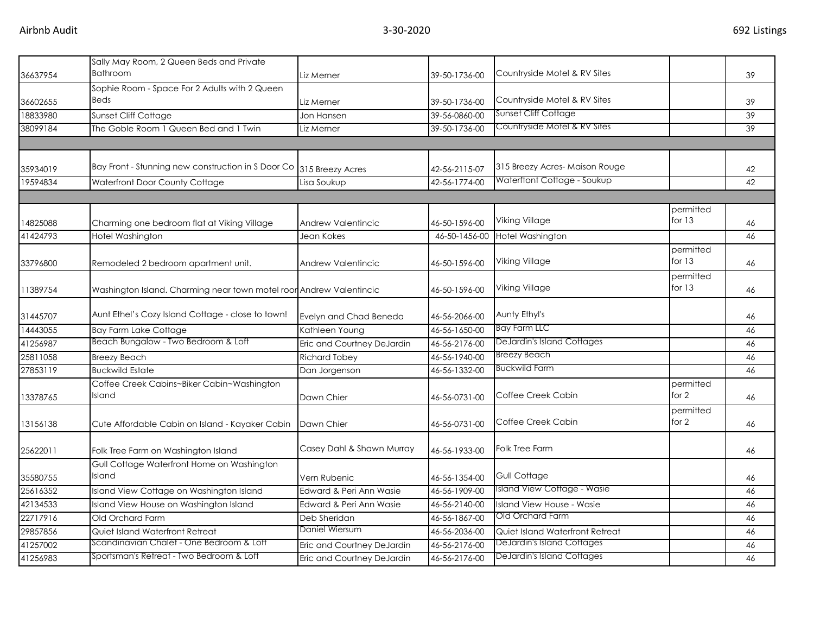| 36637954 | Sally May Room, 2 Queen Beds and Private<br><b>Bathroom</b>         | Liz Merner                 | 39-50-1736-00 | Countryside Motel & RV Sites               |                     | 39 |
|----------|---------------------------------------------------------------------|----------------------------|---------------|--------------------------------------------|---------------------|----|
| 36602655 | Sophie Room - Space For 2 Adults with 2 Queen<br><b>Beds</b>        | Liz Merner                 | 39-50-1736-00 | Countryside Motel & RV Sites               |                     | 39 |
| 18833980 | Sunset Cliff Cottage                                                | Jon Hansen                 | 39-56-0860-00 | <b>Sunset Cliff Cottage</b>                |                     | 39 |
| 38099184 | The Goble Room 1 Queen Bed and 1 Twin                               | Liz Merner                 | 39-50-1736-00 | Countryside Motel & RV Sites               |                     | 39 |
|          |                                                                     |                            |               |                                            |                     |    |
| 35934019 | Bay Front - Stunning new construction in S Door Co 315 Breezy Acres |                            | 42-56-2115-07 | 315 Breezy Acres-Maison Rouge              |                     | 42 |
| 19594834 | Waterfront Door County Cottage                                      | Lisa Soukup                | 42-56-1774-00 | Waterftont Cottage - Soukup                |                     | 42 |
|          |                                                                     |                            |               |                                            |                     |    |
| 14825088 | Charming one bedroom flat at Viking Village                         | Andrew Valentincic         | 46-50-1596-00 | Viking Village                             | permitted<br>for 13 | 46 |
| 41424793 | Hotel Washington                                                    | Jean Kokes                 | 46-50-1456-00 | Hotel Washington                           |                     | 46 |
| 33796800 | Remodeled 2 bedroom apartment unit.                                 | Andrew Valentincic         | 46-50-1596-00 | permitted<br>for 13<br>Viking Village      |                     | 46 |
| 11389754 | Washington Island. Charming near town motel roor Andrew Valentincic |                            | 46-50-1596-00 | Viking Village                             | permitted<br>for 13 | 46 |
| 31445707 | Aunt Ethel's Cozy Island Cottage - close to town!                   | Evelyn and Chad Beneda     | 46-56-2066-00 | Aunty Ethyl's                              |                     | 46 |
| 14443055 | <b>Bay Farm Lake Cottage</b>                                        | Kathleen Young             | 46-56-1650-00 | Bay Farm LLC                               |                     | 46 |
| 41256987 | Beach Bungalow - Two Bedroom & Loft                                 | Eric and Courtney DeJardin | 46-56-2176-00 | DeJardin's Island Cottages                 |                     | 46 |
| 25811058 | <b>Breezy Beach</b>                                                 | <b>Richard Tobey</b>       | 46-56-1940-00 | <b>Breezy Beach</b>                        |                     | 46 |
| 27853119 | <b>Buckwild Estate</b>                                              | Dan Jorgenson              | 46-56-1332-00 | <b>Buckwild Farm</b>                       |                     | 46 |
| 13378765 | Coffee Creek Cabins~Biker Cabin~Washington<br>Island                | Dawn Chier                 | 46-56-0731-00 | permitted<br>Coffee Creek Cabin<br>for $2$ |                     | 46 |
| 13156138 | Cute Affordable Cabin on Island - Kayaker Cabin                     | Dawn Chier                 | 46-56-0731-00 | permitted<br>for $2$<br>Coffee Creek Cabin |                     | 46 |
| 25622011 | Folk Tree Farm on Washington Island                                 | Casey Dahl & Shawn Murray  | 46-56-1933-00 | Folk Tree Farm                             |                     | 46 |
| 35580755 | Gull Cottage Waterfront Home on Washington<br>Island                | Vern Rubenic               | 46-56-1354-00 | Gull Cottage                               |                     | 46 |
| 25616352 | Island View Cottage on Washington Island                            | Edward & Peri Ann Wasie    | 46-56-1909-00 | Island View Cottage - Wasie                |                     | 46 |
| 42134533 | Island View House on Washington Island                              | Edward & Peri Ann Wasie    | 46-56-2140-00 | Island View House - Wasie                  |                     | 46 |
| 22717916 | Old Orchard Farm                                                    | Deb Sheridan               | 46-56-1867-00 | Old Orchard Farm                           |                     | 46 |
| 29857856 | Quiet Island Waterfront Retreat                                     | Daniel Wiersum             | 46-56-2036-00 | <b>Quiet Island Waterfront Retreat</b>     |                     | 46 |
| 41257002 | Scandinavian Chalet - One Bedroom & Loft                            | Eric and Courtney DeJardin | 46-56-2176-00 | <b>DeJardin's Island Cottages</b>          |                     | 46 |
| 41256983 | Sportsman's Retreat - Two Bedroom & Loft                            | Eric and Courtney DeJardin | 46-56-2176-00 | DeJardin's Island Cottages                 |                     | 46 |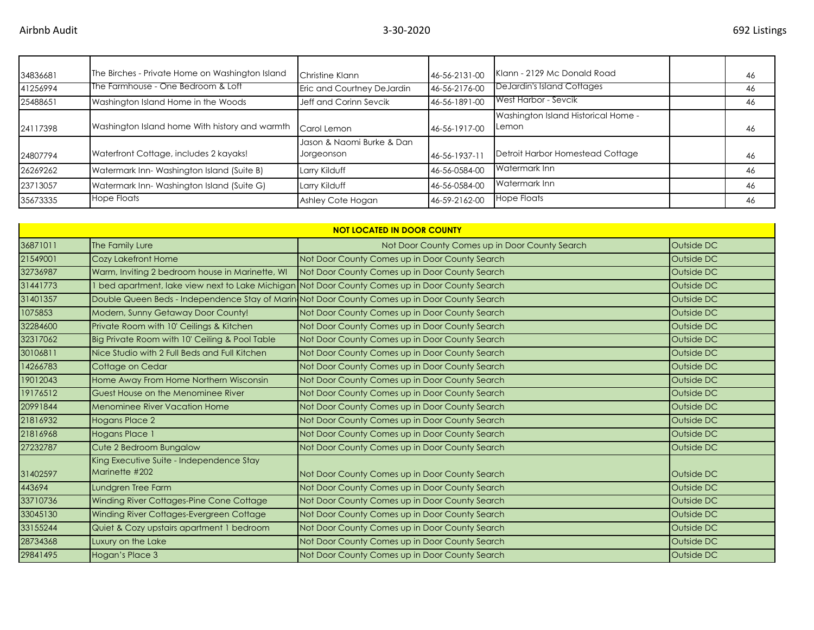| 34836681 | The Birches - Private Home on Washington Island | Christine Klann                         | 46-56-2131-00 | Klann - 2129 Mc Donald Road                  | 46 |
|----------|-------------------------------------------------|-----------------------------------------|---------------|----------------------------------------------|----|
| 41256994 | The Farmhouse - One Bedroom & Loft              | Eric and Courtney DeJardin              | 46-56-2176-00 | DeJardin's Island Cottages                   | 46 |
| 25488651 | Washington Island Home in the Woods             | Jeff and Corinn Sevcik                  | 46-56-1891-00 | West Harbor - Sevcik                         | 46 |
| 24117398 | Washington Island home With history and warmth  | Carol Lemon                             | 46-56-1917-00 | Washington Island Historical Home -<br>Lemon | 46 |
| 24807794 | Waterfront Cottage, includes 2 kayaks!          | Jason & Naomi Burke & Dan<br>Jorgeonson | 46-56-1937-11 | Detroit Harbor Homestead Cottage             | 46 |
| 26269262 | Watermark Inn-Washington Island (Suite B)       | Larry Kilduff                           | 46-56-0584-00 | Watermark Inn                                | 46 |
| 23713057 | Watermark Inn-Washington Island (Suite G)       | Larry Kilduff                           | 46-56-0584-00 | Watermark Inn                                | 46 |
| 35673335 | <b>Hope Floats</b>                              | Ashley Cote Hogan                       | 46-59-2162-00 | Hope Floats                                  | 46 |

| <b>NOT LOCATED IN DOOR COUNTY</b> |                                                            |                                                                                                 |            |  |  |  |
|-----------------------------------|------------------------------------------------------------|-------------------------------------------------------------------------------------------------|------------|--|--|--|
| 36871011                          | The Family Lure                                            | Not Door County Comes up in Door County Search                                                  | Outside DC |  |  |  |
| 21549001                          | Cozy Lakefront Home                                        | Not Door County Comes up in Door County Search                                                  | Outside DC |  |  |  |
| 32736987                          | Warm, Inviting 2 bedroom house in Marinette, WI            | Not Door County Comes up in Door County Search                                                  | Outside DC |  |  |  |
| 31441773                          |                                                            | 1 bed apartment, lake view next to Lake Michigan Not Door County Comes up in Door County Search | Outside DC |  |  |  |
| 31401357                          |                                                            | Double Queen Beds - Independence Stay of Marin Not Door County Comes up in Door County Search   | Outside DC |  |  |  |
| 1075853                           | Modern, Sunny Getaway Door County!                         | Not Door County Comes up in Door County Search                                                  | Outside DC |  |  |  |
| 32284600                          | Private Room with 10' Ceilings & Kitchen                   | Not Door County Comes up in Door County Search                                                  | Outside DC |  |  |  |
| 32317062                          | Big Private Room with 10' Ceiling & Pool Table             | Not Door County Comes up in Door County Search                                                  | Outside DC |  |  |  |
| 30106811                          | Nice Studio with 2 Full Beds and Full Kitchen              | Not Door County Comes up in Door County Search                                                  | Outside DC |  |  |  |
| 14266783                          | Cottage on Cedar                                           | Not Door County Comes up in Door County Search                                                  | Outside DC |  |  |  |
| 19012043                          | Home Away From Home Northern Wisconsin                     | Not Door County Comes up in Door County Search                                                  | Outside DC |  |  |  |
| 19176512                          | Guest House on the Menominee River                         | Not Door County Comes up in Door County Search                                                  | Outside DC |  |  |  |
| 20991844                          | <b>Menominee River Vacation Home</b>                       | Not Door County Comes up in Door County Search                                                  | Outside DC |  |  |  |
| 21816932                          | <b>Hogans Place 2</b>                                      | Not Door County Comes up in Door County Search                                                  | Outside DC |  |  |  |
| 21816968                          | Hogans Place 1                                             | Not Door County Comes up in Door County Search                                                  | Outside DC |  |  |  |
| 27232787                          | Cute 2 Bedroom Bungalow                                    | Not Door County Comes up in Door County Search                                                  | Outside DC |  |  |  |
| 31402597                          | King Executive Suite - Independence Stay<br>Marinette #202 | Not Door County Comes up in Door County Search                                                  | Outside DC |  |  |  |
| 443694                            | Lundgren Tree Farm                                         | Not Door County Comes up in Door County Search                                                  | Outside DC |  |  |  |
| 33710736                          | Winding River Cottages-Pine Cone Cottage                   | Not Door County Comes up in Door County Search                                                  | Outside DC |  |  |  |
| 33045130                          | Winding River Cottages-Evergreen Cottage                   | Not Door County Comes up in Door County Search                                                  | Outside DC |  |  |  |
| 33155244                          | Quiet & Cozy upstairs apartment 1 bedroom                  | Not Door County Comes up in Door County Search                                                  | Outside DC |  |  |  |
| 28734368                          | Luxury on the Lake                                         | Not Door County Comes up in Door County Search                                                  | Outside DC |  |  |  |
| 29841495                          | Hogan's Place 3                                            | Not Door County Comes up in Door County Search                                                  | Outside DC |  |  |  |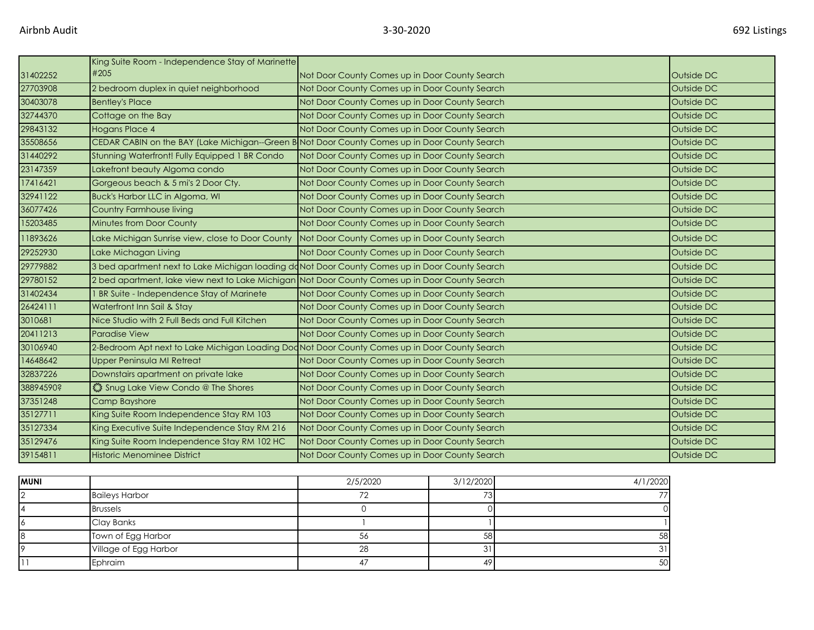|           | King Suite Room - Independence Stay of Marinette                                                |                                                |            |
|-----------|-------------------------------------------------------------------------------------------------|------------------------------------------------|------------|
| 31402252  | #205                                                                                            | Not Door County Comes up in Door County Search | Outside DC |
| 27703908  | 2 bedroom duplex in quiet neighborhood                                                          | Not Door County Comes up in Door County Search | Outside DC |
| 30403078  | <b>Bentley's Place</b>                                                                          | Not Door County Comes up in Door County Search | Outside DC |
| 32744370  | Cottage on the Bay                                                                              | Not Door County Comes up in Door County Search | Outside DC |
| 29843132  | Hogans Place 4                                                                                  | Not Door County Comes up in Door County Search | Outside DC |
| 35508656  | CEDAR CABIN on the BAY (Lake Michigan--Green B Not Door County Comes up in Door County Search   |                                                | Outside DC |
| 31440292  | Stunning Waterfront! Fully Equipped 1 BR Condo                                                  | Not Door County Comes up in Door County Search | Outside DC |
| 23147359  | Lakefront beauty Algoma condo                                                                   | Not Door County Comes up in Door County Search | Outside DC |
| 17416421  | Gorgeous beach & 5 mi's 2 Door Cty.                                                             | Not Door County Comes up in Door County Search | Outside DC |
| 32941122  | Buck's Harbor LLC in Algoma, WI                                                                 | Not Door County Comes up in Door County Search | Outside DC |
| 36077426  | Country Farmhouse living                                                                        | Not Door County Comes up in Door County Search | Outside DC |
| 15203485  | Minutes from Door County                                                                        | Not Door County Comes up in Door County Search | Outside DC |
| 11893626  | Lake Michigan Sunrise view, close to Door County                                                | Not Door County Comes up in Door County Search | Outside DC |
| 29252930  | Lake Michagan Living                                                                            | Not Door County Comes up in Door County Search | Outside DC |
| 29779882  | 3 bed apartment next to Lake Michigan loading doNot Door County Comes up in Door County Search  |                                                | Outside DC |
| 29780152  | 2 bed apartment, lake view next to Lake Michigan Not Door County Comes up in Door County Search |                                                | Outside DC |
| 31402434  | BR Suite - Independence Stay of Marinete                                                        | Not Door County Comes up in Door County Search | Outside DC |
| 26424111  | Waterfront Inn Sail & Stay                                                                      | Not Door County Comes up in Door County Search | Outside DC |
| 3010681   | Nice Studio with 2 Full Beds and Full Kitchen                                                   | Not Door County Comes up in Door County Search | Outside DC |
| 20411213  | <b>Paradise View</b>                                                                            | Not Door County Comes up in Door County Search | Outside DC |
| 30106940  | 2-Bedroom Apt next to Lake Michigan Loading Dod Not Door County Comes up in Door County Search  |                                                | Outside DC |
| 14648642  | <b>Upper Peninsula MI Retreat</b>                                                               | Not Door County Comes up in Door County Search | Outside DC |
| 32837226  | Downstairs apartment on private lake                                                            | Not Door County Comes up in Door County Search | Outside DC |
| 38894590? | Shug Lake View Condo @ The Shores                                                               | Not Door County Comes up in Door County Search | Outside DC |
| 37351248  | Camp Bayshore                                                                                   | Not Door County Comes up in Door County Search | Outside DC |
| 35127711  | King Suite Room Independence Stay RM 103                                                        | Not Door County Comes up in Door County Search | Outside DC |
| 35127334  | King Executive Suite Independence Stay RM 216                                                   | Not Door County Comes up in Door County Search | Outside DC |
| 35129476  | King Suite Room Independence Stay RM 102 HC                                                     | Not Door County Comes up in Door County Search | Outside DC |
| 39154811  | Historic Menominee District                                                                     | Not Door County Comes up in Door County Search | Outside DC |

| MUNI |                       | 2/5/2020 | 3/12/2020 | 4/1/2020 |
|------|-----------------------|----------|-----------|----------|
|      | <b>Baileys Harbor</b> |          | 73        | 77       |
|      | <b>Brussels</b>       |          |           |          |
|      | Clay Banks            |          |           |          |
|      | Town of Egg Harbor    | 56       | 58        | 58       |
|      | Village of Egg Harbor | 28       |           | 31       |
|      | Ephraim               |          | 49        | 50       |